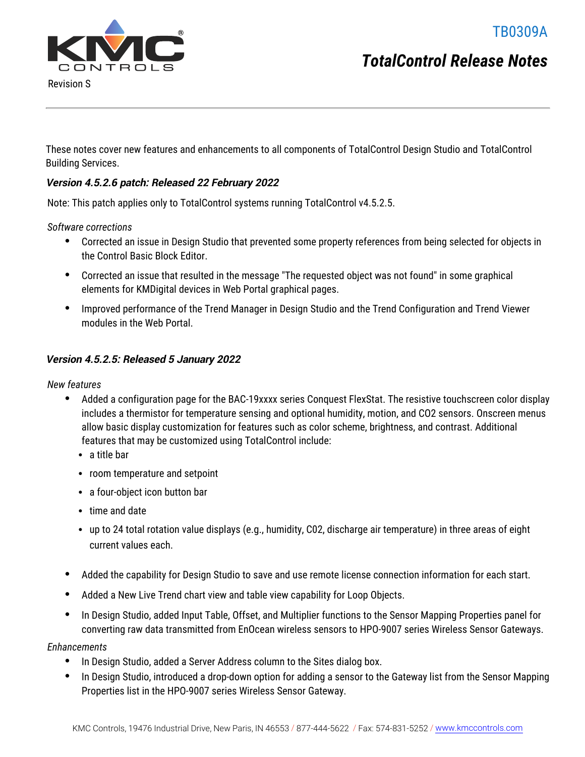TB0309A



Revision S

These notes cover new features and enhancements to all components of TotalControl Design Studio and TotalControl Building Services.

#### **Version 4.5.2.6 patch: Released 22 February 2022**

Note: This patch applies only to TotalControl systems running TotalControl v4.5.2.5.

*Software corrections*

- Corrected an issue in Design Studio that prevented some property references from being selected for objects in the Control Basic Block Editor.
- Corrected an issue that resulted in the message "The requested object was not found" in some graphical elements for KMDigital devices in Web Portal graphical pages.
- Improved performance of the Trend Manager in Design Studio and the Trend Configuration and Trend Viewer modules in the Web Portal.

#### **Version 4.5.2.5: Released 5 January 2022**

*New features*

- Added a configuration page for the BAC-19xxxx series Conquest FlexStat. The resistive touchscreen color display includes a thermistor for temperature sensing and optional humidity, motion, and CO2 sensors. Onscreen menus allow basic display customization for features such as color scheme, brightness, and contrast. Additional features that may be customized using TotalControl include:
	- $\bullet$  a title bar
	- room temperature and setpoint
	- a four-object icon button bar
	- $\bullet$  time and date
	- up to 24 total rotation value displays (e.g., humidity, C02, discharge air temperature) in three areas of eight current values each.
- Added the capability for Design Studio to save and use remote license connection information for each start.
- Added a New Live Trend chart view and table view capability for Loop Objects.
- In Design Studio, added Input Table, Offset, and Multiplier functions to the Sensor Mapping Properties panel for converting raw data transmitted from EnOcean wireless sensors to HPO-9007 series Wireless Sensor Gateways.

*Enhancements*

- In Design Studio, added a Server Address column to the Sites dialog box.
- In Design Studio, introduced a drop-down option for adding a sensor to the Gateway list from the Sensor Mapping Properties list in the HPO-9007 series Wireless Sensor Gateway.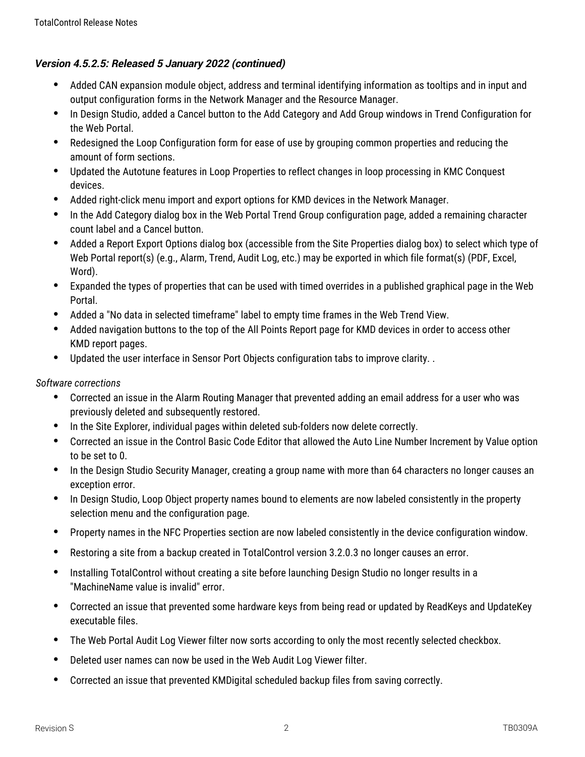# **Version 4.5.2.5: Released 5 January 2022 (continued)**

- Added CAN expansion module object, address and terminal identifying information as tooltips and in input and output configuration forms in the Network Manager and the Resource Manager.
- In Design Studio, added a Cancel button to the Add Category and Add Group windows in Trend Configuration for the Web Portal.
- Redesigned the Loop Configuration form for ease of use by grouping common properties and reducing the amount of form sections.
- Updated the Autotune features in Loop Properties to reflect changes in loop processing in KMC Conquest devices.
- Added right-click menu import and export options for KMD devices in the Network Manager.
- In the Add Category dialog box in the Web Portal Trend Group configuration page, added a remaining character count label and a Cancel button.
- Added a Report Export Options dialog box (accessible from the Site Properties dialog box) to select which type of Web Portal report(s) (e.g., Alarm, Trend, Audit Log, etc.) may be exported in which file format(s) (PDF, Excel, Word).
- Expanded the types of properties that can be used with timed overrides in a published graphical page in the Web Portal.
- Added a "No data in selected timeframe" label to empty time frames in the Web Trend View.
- Added navigation buttons to the top of the All Points Report page for KMD devices in order to access other KMD report pages.
- Updated the user interface in Sensor Port Objects configuration tabs to improve clarity. .

- Corrected an issue in the Alarm Routing Manager that prevented adding an email address for a user who was previously deleted and subsequently restored.
- In the Site Explorer, individual pages within deleted sub-folders now delete correctly.
- Corrected an issue in the Control Basic Code Editor that allowed the Auto Line Number Increment by Value option to be set to 0.
- In the Design Studio Security Manager, creating a group name with more than 64 characters no longer causes an exception error.
- In Design Studio, Loop Object property names bound to elements are now labeled consistently in the property selection menu and the configuration page.
- Property names in the NFC Properties section are now labeled consistently in the device configuration window.
- Restoring a site from a backup created in TotalControl version 3.2.0.3 no longer causes an error.
- Installing TotalControl without creating a site before launching Design Studio no longer results in a "MachineName value is invalid" error.
- Corrected an issue that prevented some hardware keys from being read or updated by ReadKeys and UpdateKey executable files.
- The Web Portal Audit Log Viewer filter now sorts according to only the most recently selected checkbox.
- Deleted user names can now be used in the Web Audit Log Viewer filter.
- Corrected an issue that prevented KMDigital scheduled backup files from saving correctly.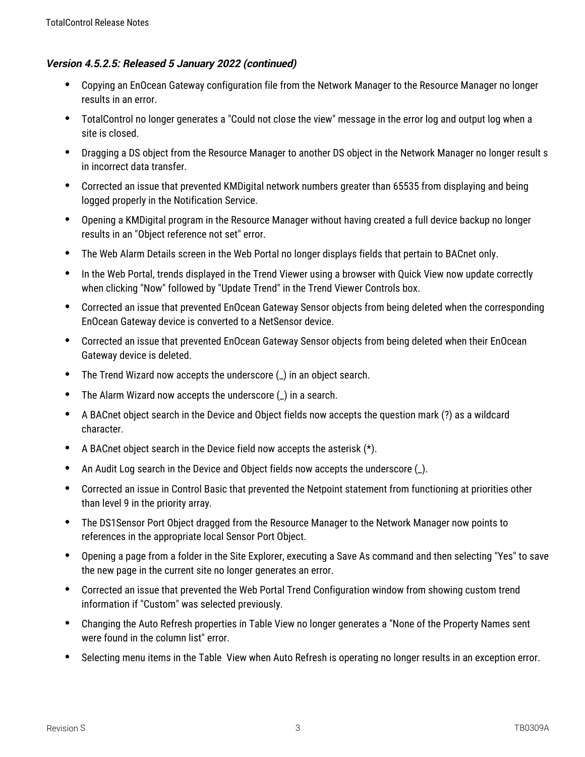## **Version 4.5.2.5: Released 5 January 2022 (continued)**

- Copying an EnOcean Gateway configuration file from the Network Manager to the Resource Manager no longer results in an error.
- TotalControl no longer generates a "Could not close the view" message in the error log and output log when a site is closed.
- Dragging a DS object from the Resource Manager to another DS object in the Network Manager no longer result s in incorrect data transfer.
- Corrected an issue that prevented KMDigital network numbers greater than 65535 from displaying and being logged properly in the Notification Service.
- Opening a KMDigital program in the Resource Manager without having created a full device backup no longer results in an "Object reference not set" error.
- The Web Alarm Details screen in the Web Portal no longer displays fields that pertain to BACnet only.
- In the Web Portal, trends displayed in the Trend Viewer using a browser with Quick View now update correctly when clicking "Now" followed by "Update Trend" in the Trend Viewer Controls box.
- Corrected an issue that prevented EnOcean Gateway Sensor objects from being deleted when the corresponding EnOcean Gateway device is converted to a NetSensor device.
- Corrected an issue that prevented EnOcean Gateway Sensor objects from being deleted when their EnOcean Gateway device is deleted.
- The Trend Wizard now accepts the underscore (\_) in an object search.
- The Alarm Wizard now accepts the underscore (\_) in a search.
- A BACnet object search in the Device and Object fields now accepts the question mark (?) as a wildcard character.
- A BACnet object search in the Device field now accepts the asterisk (\*).
- An Audit Log search in the Device and Object fields now accepts the underscore (\_).
- Corrected an issue in Control Basic that prevented the Netpoint statement from functioning at priorities other than level 9 in the priority array.
- The DS1Sensor Port Object dragged from the Resource Manager to the Network Manager now points to references in the appropriate local Sensor Port Object.
- Opening a page from a folder in the Site Explorer, executing a Save As command and then selecting "Yes" to save the new page in the current site no longer generates an error.
- Corrected an issue that prevented the Web Portal Trend Configuration window from showing custom trend information if "Custom" was selected previously.
- Changing the Auto Refresh properties in Table View no longer generates a "None of the Property Names sent were found in the column list" error.
- Selecting menu items in the Table View when Auto Refresh is operating no longer results in an exception error.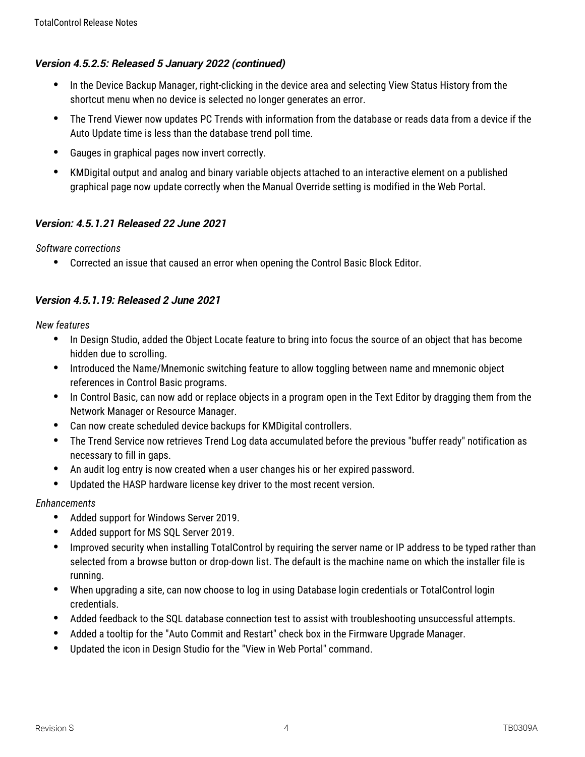## **Version 4.5.2.5: Released 5 January 2022 (continued)**

- In the Device Backup Manager, right-clicking in the device area and selecting View Status History from the shortcut menu when no device is selected no longer generates an error.
- The Trend Viewer now updates PC Trends with information from the database or reads data from a device if the Auto Update time is less than the database trend poll time.
- Gauges in graphical pages now invert correctly.
- KMDigital output and analog and binary variable objects attached to an interactive element on a published graphical page now update correctly when the Manual Override setting is modified in the Web Portal.

# **Version: 4.5.1.21 Released 22 June 2021**

*Software corrections*

Corrected an issue that caused an error when opening the Control Basic Block Editor.

# **Version 4.5.1.19: Released 2 June 2021**

*New features*

- In Design Studio, added the Object Locate feature to bring into focus the source of an object that has become hidden due to scrolling.
- Introduced the Name/Mnemonic switching feature to allow toggling between name and mnemonic object references in Control Basic programs.
- In Control Basic, can now add or replace objects in a program open in the Text Editor by dragging them from the Network Manager or Resource Manager.
- Can now create scheduled device backups for KMDigital controllers.
- The Trend Service now retrieves Trend Log data accumulated before the previous "buffer ready" notification as necessary to fill in gaps.
- An audit log entry is now created when a user changes his or her expired password.
- Updated the HASP hardware license key driver to the most recent version.

*Enhancements*

- Added support for Windows Server 2019.
- Added support for MS SQL Server 2019.
- Improved security when installing TotalControl by requiring the server name or IP address to be typed rather than selected from a browse button or drop-down list. The default is the machine name on which the installer file is running.
- When upgrading a site, can now choose to log in using Database login credentials or TotalControl login credentials.
- Added feedback to the SQL database connection test to assist with troubleshooting unsuccessful attempts.
- Added a tooltip for the "Auto Commit and Restart" check box in the Firmware Upgrade Manager.
- Updated the icon in Design Studio for the "View in Web Portal" command.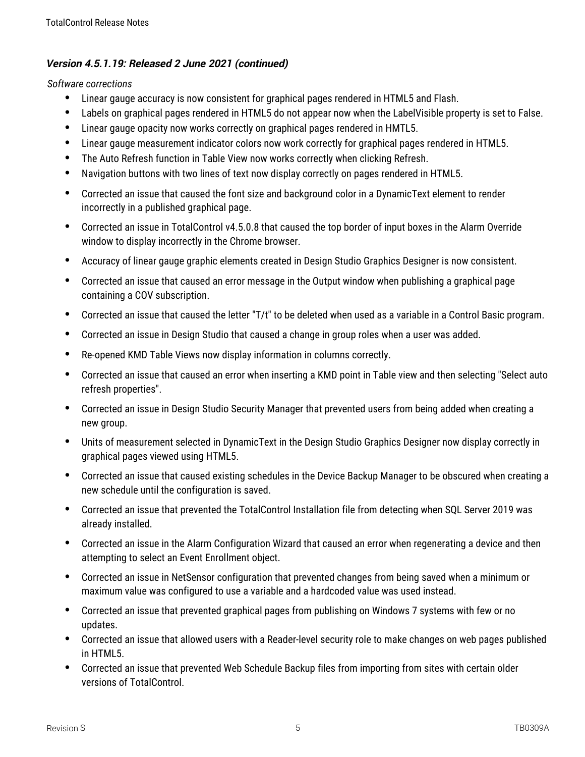- Linear gauge accuracy is now consistent for graphical pages rendered in HTML5 and Flash.
- Labels on graphical pages rendered in HTML5 do not appear now when the LabelVisible property is set to False.
- Linear gauge opacity now works correctly on graphical pages rendered in HMTL5.
- Linear gauge measurement indicator colors now work correctly for graphical pages rendered in HTML5.
- The Auto Refresh function in Table View now works correctly when clicking Refresh.
- Navigation buttons with two lines of text now display correctly on pages rendered in HTML5.
- Corrected an issue that caused the font size and background color in a DynamicText element to render incorrectly in a published graphical page.
- Corrected an issue in TotalControl v4.5.0.8 that caused the top border of input boxes in the Alarm Override window to display incorrectly in the Chrome browser.
- Accuracy of linear gauge graphic elements created in Design Studio Graphics Designer is now consistent.
- Corrected an issue that caused an error message in the Output window when publishing a graphical page containing a COV subscription.
- Corrected an issue that caused the letter "T/t" to be deleted when used as a variable in a Control Basic program.
- Corrected an issue in Design Studio that caused a change in group roles when a user was added.
- Re-opened KMD Table Views now display information in columns correctly.
- Corrected an issue that caused an error when inserting a KMD point in Table view and then selecting "Select auto refresh properties".
- Corrected an issue in Design Studio Security Manager that prevented users from being added when creating a new group.
- Units of measurement selected in DynamicText in the Design Studio Graphics Designer now display correctly in graphical pages viewed using HTML5.
- Corrected an issue that caused existing schedules in the Device Backup Manager to be obscured when creating a new schedule until the configuration is saved.
- Corrected an issue that prevented the TotalControl Installation file from detecting when SQL Server 2019 was already installed.
- Corrected an issue in the Alarm Configuration Wizard that caused an error when regenerating a device and then attempting to select an Event Enrollment object.
- Corrected an issue in NetSensor configuration that prevented changes from being saved when a minimum or maximum value was configured to use a variable and a hardcoded value was used instead.
- Corrected an issue that prevented graphical pages from publishing on Windows 7 systems with few or no updates.
- Corrected an issue that allowed users with a Reader-level security role to make changes on web pages published in HTML5.
- Corrected an issue that prevented Web Schedule Backup files from importing from sites with certain older versions of TotalControl.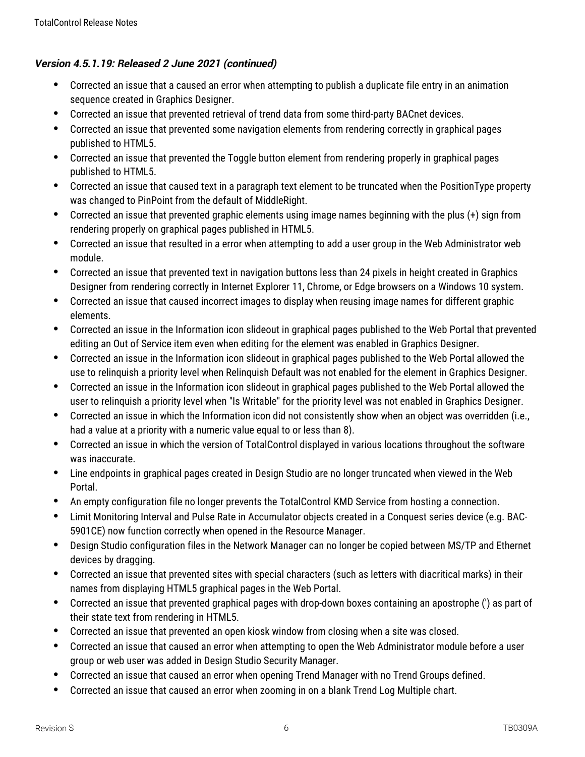- Corrected an issue that a caused an error when attempting to publish a duplicate file entry in an animation sequence created in Graphics Designer.
- Corrected an issue that prevented retrieval of trend data from some third-party BACnet devices.
- Corrected an issue that prevented some navigation elements from rendering correctly in graphical pages published to HTML5.
- Corrected an issue that prevented the Toggle button element from rendering properly in graphical pages published to HTML5.
- Corrected an issue that caused text in a paragraph text element to be truncated when the PositionType property was changed to PinPoint from the default of MiddleRight.
- Corrected an issue that prevented graphic elements using image names beginning with the plus (+) sign from rendering properly on graphical pages published in HTML5.
- Corrected an issue that resulted in a error when attempting to add a user group in the Web Administrator web module.
- Corrected an issue that prevented text in navigation buttons less than 24 pixels in height created in Graphics Designer from rendering correctly in Internet Explorer 11, Chrome, or Edge browsers on a Windows 10 system.
- Corrected an issue that caused incorrect images to display when reusing image names for different graphic elements.
- Corrected an issue in the Information icon slideout in graphical pages published to the Web Portal that prevented editing an Out of Service item even when editing for the element was enabled in Graphics Designer.
- Corrected an issue in the Information icon slideout in graphical pages published to the Web Portal allowed the use to relinquish a priority level when Relinquish Default was not enabled for the element in Graphics Designer.
- Corrected an issue in the Information icon slideout in graphical pages published to the Web Portal allowed the user to relinquish a priority level when "Is Writable" for the priority level was not enabled in Graphics Designer.
- Corrected an issue in which the Information icon did not consistently show when an object was overridden (i.e., had a value at a priority with a numeric value equal to or less than 8).
- Corrected an issue in which the version of TotalControl displayed in various locations throughout the software was inaccurate.
- Line endpoints in graphical pages created in Design Studio are no longer truncated when viewed in the Web Portal.
- An empty configuration file no longer prevents the TotalControl KMD Service from hosting a connection.
- Limit Monitoring Interval and Pulse Rate in Accumulator objects created in a Conquest series device (e.g. BAC-5901CE) now function correctly when opened in the Resource Manager.
- Design Studio configuration files in the Network Manager can no longer be copied between MS/TP and Ethernet devices by dragging.
- Corrected an issue that prevented sites with special characters (such as letters with diacritical marks) in their names from displaying HTML5 graphical pages in the Web Portal.
- Corrected an issue that prevented graphical pages with drop-down boxes containing an apostrophe (') as part of their state text from rendering in HTML5.
- Corrected an issue that prevented an open kiosk window from closing when a site was closed.
- Corrected an issue that caused an error when attempting to open the Web Administrator module before a user group or web user was added in Design Studio Security Manager.
- Corrected an issue that caused an error when opening Trend Manager with no Trend Groups defined.
- Corrected an issue that caused an error when zooming in on a blank Trend Log Multiple chart.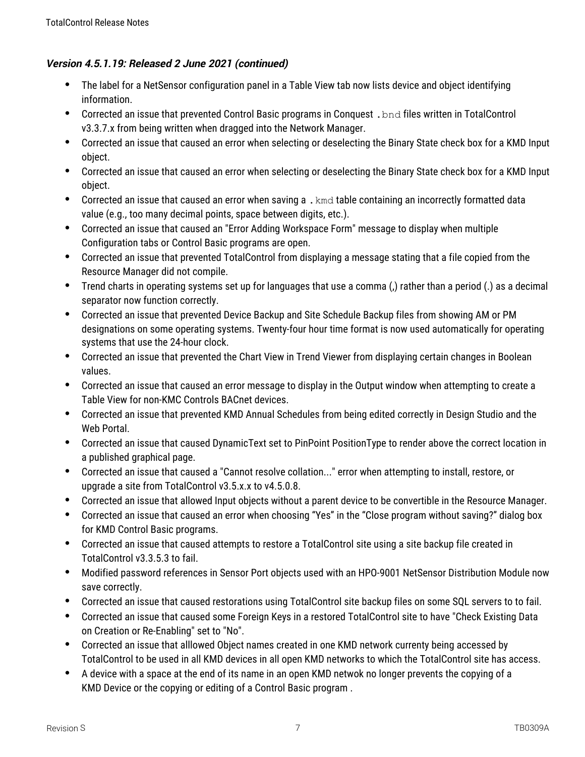- The label for a NetSensor configuration panel in a Table View tab now lists device and object identifying information.
- Corrected an issue that prevented Control Basic programs in Conquest .bnd files written in TotalControl v3.3.7.x from being written when dragged into the Network Manager.
- Corrected an issue that caused an error when selecting or deselecting the Binary State check box for a KMD Input object.
- Corrected an issue that caused an error when selecting or deselecting the Binary State check box for a KMD Input object.
- Corrected an issue that caused an error when saving a . kmd table containing an incorrectly formatted data value (e.g., too many decimal points, space between digits, etc.).
- Corrected an issue that caused an "Error Adding Workspace Form" message to display when multiple Configuration tabs or Control Basic programs are open.
- Corrected an issue that prevented TotalControl from displaying a message stating that a file copied from the Resource Manager did not compile.
- Trend charts in operating systems set up for languages that use a comma (,) rather than a period (.) as a decimal separator now function correctly.
- Corrected an issue that prevented Device Backup and Site Schedule Backup files from showing AM or PM designations on some operating systems. Twenty-four hour time format is now used automatically for operating systems that use the 24-hour clock.
- Corrected an issue that prevented the Chart View in Trend Viewer from displaying certain changes in Boolean values.
- Corrected an issue that caused an error message to display in the Output window when attempting to create a Table View for non-KMC Controls BACnet devices.
- Corrected an issue that prevented KMD Annual Schedules from being edited correctly in Design Studio and the Web Portal.
- Corrected an issue that caused DynamicText set to PinPoint PositionType to render above the correct location in a published graphical page.
- Corrected an issue that caused a "Cannot resolve collation..." error when attempting to install, restore, or upgrade a site from TotalControl v3.5.x.x to v4.5.0.8.
- Corrected an issue that allowed Input objects without a parent device to be convertible in the Resource Manager.
- Corrected an issue that caused an error when choosing "Yes" in the "Close program without saving?" dialog box for KMD Control Basic programs.
- Corrected an issue that caused attempts to restore a TotalControl site using a site backup file created in TotalControl v3.3.5.3 to fail.
- Modified password references in Sensor Port objects used with an HPO-9001 NetSensor Distribution Module now save correctly.
- Corrected an issue that caused restorations using TotalControl site backup files on some SQL servers to to fail.
- Corrected an issue that caused some Foreign Keys in a restored TotalControl site to have "Check Existing Data on Creation or Re-Enabling" set to "No".
- Corrected an issue that alllowed Object names created in one KMD network currenty being accessed by TotalControl to be used in all KMD devices in all open KMD networks to which the TotalControl site has access.
- A device with a space at the end of its name in an open KMD netwok no longer prevents the copying of a KMD Device or the copying or editing of a Control Basic program .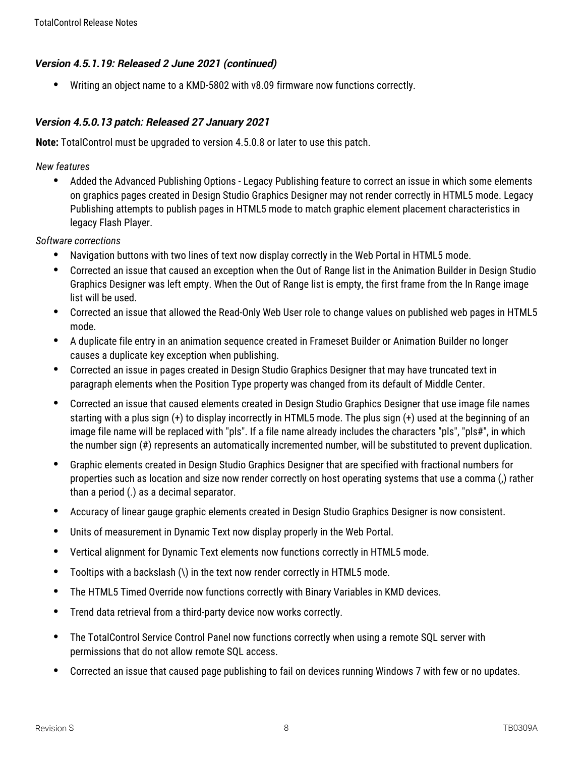Writing an object name to a KMD-5802 with v8.09 firmware now functions correctly.

## **Version 4.5.0.13 patch: Released 27 January 2021**

**Note:** TotalControl must be upgraded to version 4.5.0.8 or later to use this patch.

*New features*

 Added the Advanced Publishing Options - Legacy Publishing feature to correct an issue in which some elements on graphics pages created in Design Studio Graphics Designer may not render correctly in HTML5 mode. Legacy Publishing attempts to publish pages in HTML5 mode to match graphic element placement characteristics in legacy Flash Player.

- Navigation buttons with two lines of text now display correctly in the Web Portal in HTML5 mode.
- Corrected an issue that caused an exception when the Out of Range list in the Animation Builder in Design Studio Graphics Designer was left empty. When the Out of Range list is empty, the first frame from the In Range image list will be used.
- Corrected an issue that allowed the Read-Only Web User role to change values on published web pages in HTML5 mode.
- A duplicate file entry in an animation sequence created in Frameset Builder or Animation Builder no longer causes a duplicate key exception when publishing.
- Corrected an issue in pages created in Design Studio Graphics Designer that may have truncated text in paragraph elements when the Position Type property was changed from its default of Middle Center.
- Corrected an issue that caused elements created in Design Studio Graphics Designer that use image file names starting with a plus sign (+) to display incorrectly in HTML5 mode. The plus sign (+) used at the beginning of an image file name will be replaced with "pls". If a file name already includes the characters "pls", "pls#", in which the number sign (#) represents an automatically incremented number, will be substituted to prevent duplication.
- Graphic elements created in Design Studio Graphics Designer that are specified with fractional numbers for properties such as location and size now render correctly on host operating systems that use a comma (,) rather than a period (.) as a decimal separator.
- Accuracy of linear gauge graphic elements created in Design Studio Graphics Designer is now consistent.
- Units of measurement in Dynamic Text now display properly in the Web Portal.
- Vertical alignment for Dynamic Text elements now functions correctly in HTML5 mode.
- Tooltips with a backslash (\) in the text now render correctly in HTML5 mode.
- The HTML5 Timed Override now functions correctly with Binary Variables in KMD devices.
- Trend data retrieval from a third-party device now works correctly.
- The TotalControl Service Control Panel now functions correctly when using a remote SQL server with permissions that do not allow remote SQL access.
- Corrected an issue that caused page publishing to fail on devices running Windows 7 with few or no updates.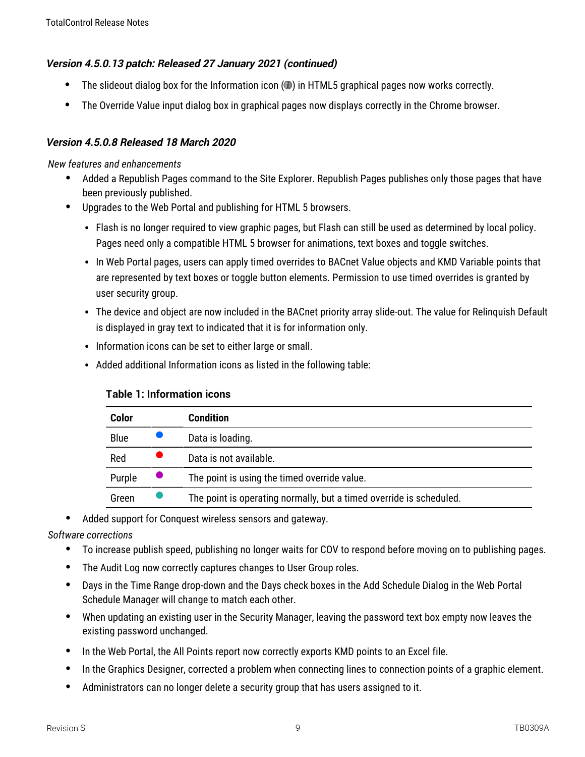## **Version 4.5.0.13 patch: Released 27 January 2021 (continued)**

- $\bullet$  The slideout dialog box for the Information icon  $\circledcirc$ ) in HTML5 graphical pages now works correctly.
- The Override Value input dialog box in graphical pages now displays correctly in the Chrome browser.

## **Version 4.5.0.8 Released 18 March 2020**

*New features and enhancements*

- Added a Republish Pages command to the Site Explorer. Republish Pages publishes only those pages that have been previously published.
- Upgrades to the Web Portal and publishing for HTML 5 browsers.
	- Flash is no longer required to view graphic pages, but Flash can still be used as determined by local policy. Pages need only a compatible HTML 5 browser for animations, text boxes and toggle switches.
	- In Web Portal pages, users can apply timed overrides to BACnet Value objects and KMD Variable points that are represented by text boxes or toggle button elements. Permission to use timed overrides is granted by user security group.
	- The device and object are now included in the BACnet priority array slide-out. The value for Relinquish Default is displayed in gray text to indicated that it is for information only.
	- Information icons can be set to either large or small.
	- Added additional Information icons as listed in the following table:

| Color       | <b>Condition</b>                                                    |
|-------------|---------------------------------------------------------------------|
| <b>Blue</b> | Data is loading.                                                    |
| Red         | Data is not available.                                              |
| Purple      | The point is using the timed override value.                        |
| Green       | The point is operating normally, but a timed override is scheduled. |

## **Table 1: Information icons**

Added support for Conquest wireless sensors and gateway.

- To increase publish speed, publishing no longer waits for COV to respond before moving on to publishing pages.
- The Audit Log now correctly captures changes to User Group roles.
- Days in the Time Range drop-down and the Days check boxes in the Add Schedule Dialog in the Web Portal Schedule Manager will change to match each other.
- When updating an existing user in the Security Manager, leaving the password text box empty now leaves the existing password unchanged.
- In the Web Portal, the All Points report now correctly exports KMD points to an Excel file.
- In the Graphics Designer, corrected a problem when connecting lines to connection points of a graphic element.
- Administrators can no longer delete a security group that has users assigned to it.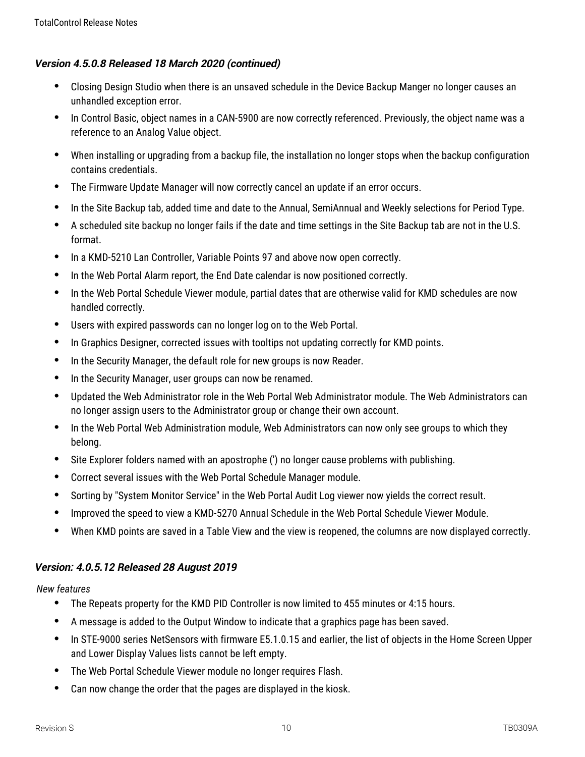## **Version 4.5.0.8 Released 18 March 2020 (continued)**

- Closing Design Studio when there is an unsaved schedule in the Device Backup Manger no longer causes an unhandled exception error.
- In Control Basic, object names in a CAN-5900 are now correctly referenced. Previously, the object name was a reference to an Analog Value object.
- When installing or upgrading from a backup file, the installation no longer stops when the backup configuration contains credentials.
- The Firmware Update Manager will now correctly cancel an update if an error occurs.
- In the Site Backup tab, added time and date to the Annual, SemiAnnual and Weekly selections for Period Type.
- A scheduled site backup no longer fails if the date and time settings in the Site Backup tab are not in the U.S. format.
- In a KMD-5210 Lan Controller, Variable Points 97 and above now open correctly.
- In the Web Portal Alarm report, the End Date calendar is now positioned correctly.
- In the Web Portal Schedule Viewer module, partial dates that are otherwise valid for KMD schedules are now handled correctly.
- Users with expired passwords can no longer log on to the Web Portal.
- In Graphics Designer, corrected issues with tooltips not updating correctly for KMD points.
- In the Security Manager, the default role for new groups is now Reader.
- In the Security Manager, user groups can now be renamed.
- Updated the Web Administrator role in the Web Portal Web Administrator module. The Web Administrators can no longer assign users to the Administrator group or change their own account.
- In the Web Portal Web Administration module, Web Administrators can now only see groups to which they belong.
- Site Explorer folders named with an apostrophe (') no longer cause problems with publishing.
- Correct several issues with the Web Portal Schedule Manager module.
- Sorting by "System Monitor Service" in the Web Portal Audit Log viewer now yields the correct result.
- Improved the speed to view a KMD-5270 Annual Schedule in the Web Portal Schedule Viewer Module.
- When KMD points are saved in a Table View and the view is reopened, the columns are now displayed correctly.

# **Version: 4.0.5.12 Released 28 August 2019**

- The Repeats property for the KMD PID Controller is now limited to 455 minutes or 4:15 hours.
- A message is added to the Output Window to indicate that a graphics page has been saved.
- In STE-9000 series NetSensors with firmware E5.1.0.15 and earlier, the list of objects in the Home Screen Upper and Lower Display Values lists cannot be left empty.
- The Web Portal Schedule Viewer module no longer requires Flash.
- Can now change the order that the pages are displayed in the kiosk.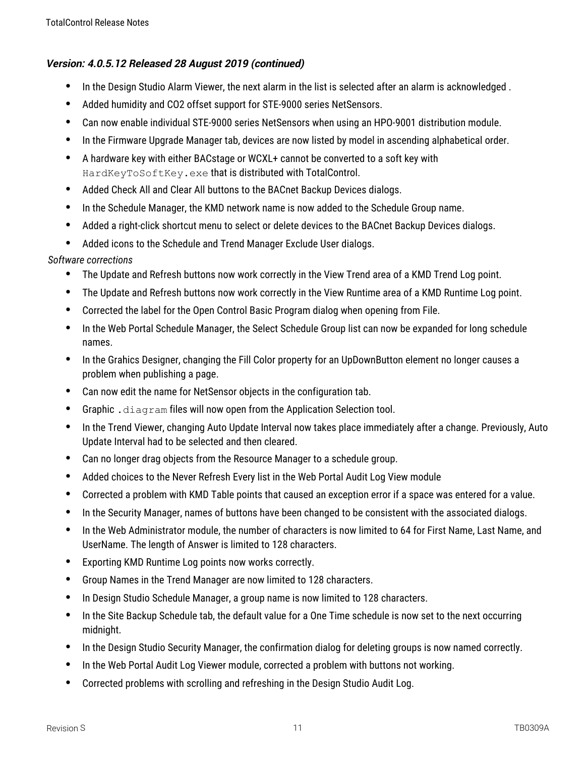- In the Design Studio Alarm Viewer, the next alarm in the list is selected after an alarm is acknowledged.
- Added humidity and CO2 offset support for STE-9000 series NetSensors.
- Can now enable individual STE-9000 series NetSensors when using an HPO-9001 distribution module.
- In the Firmware Upgrade Manager tab, devices are now listed by model in ascending alphabetical order.
- A hardware key with either BACstage or WCXL+ cannot be converted to a soft key with HardKeyToSoftKey.exe that is distributed with TotalControl.
- Added Check All and Clear All buttons to the BACnet Backup Devices dialogs.
- In the Schedule Manager, the KMD network name is now added to the Schedule Group name.
- Added a right-click shortcut menu to select or delete devices to the BACnet Backup Devices dialogs.
- Added icons to the Schedule and Trend Manager Exclude User dialogs.

- The Update and Refresh buttons now work correctly in the View Trend area of a KMD Trend Log point.
- The Update and Refresh buttons now work correctly in the View Runtime area of a KMD Runtime Log point.
- Corrected the label for the Open Control Basic Program dialog when opening from File.
- In the Web Portal Schedule Manager, the Select Schedule Group list can now be expanded for long schedule names.
- In the Grahics Designer, changing the Fill Color property for an UpDownButton element no longer causes a problem when publishing a page.
- Can now edit the name for NetSensor objects in the configuration tab.
- Graphic .diagram files will now open from the Application Selection tool.
- In the Trend Viewer, changing Auto Update Interval now takes place immediately after a change. Previously, Auto Update Interval had to be selected and then cleared.
- Can no longer drag objects from the Resource Manager to a schedule group.
- Added choices to the Never Refresh Every list in the Web Portal Audit Log View module
- Corrected a problem with KMD Table points that caused an exception error if a space was entered for a value.
- In the Security Manager, names of buttons have been changed to be consistent with the associated dialogs.
- In the Web Administrator module, the number of characters is now limited to 64 for First Name, Last Name, and UserName. The length of Answer is limited to 128 characters.
- Exporting KMD Runtime Log points now works correctly.
- Group Names in the Trend Manager are now limited to 128 characters.
- In Design Studio Schedule Manager, a group name is now limited to 128 characters.
- In the Site Backup Schedule tab, the default value for a One Time schedule is now set to the next occurring midnight.
- In the Design Studio Security Manager, the confirmation dialog for deleting groups is now named correctly.
- In the Web Portal Audit Log Viewer module, corrected a problem with buttons not working.
- Corrected problems with scrolling and refreshing in the Design Studio Audit Log.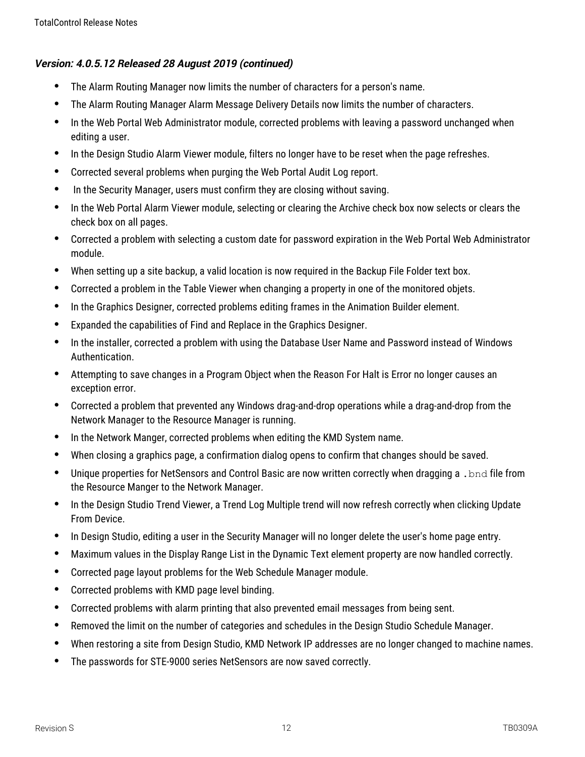- The Alarm Routing Manager now limits the number of characters for a person's name.
- The Alarm Routing Manager Alarm Message Delivery Details now limits the number of characters.
- In the Web Portal Web Administrator module, corrected problems with leaving a password unchanged when editing a user.
- In the Design Studio Alarm Viewer module, filters no longer have to be reset when the page refreshes.
- Corrected several problems when purging the Web Portal Audit Log report.
- In the Security Manager, users must confirm they are closing without saving.
- In the Web Portal Alarm Viewer module, selecting or clearing the Archive check box now selects or clears the check box on all pages.
- Corrected a problem with selecting a custom date for password expiration in the Web Portal Web Administrator module.
- When setting up a site backup, a valid location is now required in the Backup File Folder text box.
- Corrected a problem in the Table Viewer when changing a property in one of the monitored objets.
- In the Graphics Designer, corrected problems editing frames in the Animation Builder element.
- Expanded the capabilities of Find and Replace in the Graphics Designer.
- In the installer, corrected a problem with using the Database User Name and Password instead of Windows Authentication.
- Attempting to save changes in a Program Object when the Reason For Halt is Error no longer causes an exception error.
- Corrected a problem that prevented any Windows drag-and-drop operations while a drag-and-drop from the Network Manager to the Resource Manager is running.
- In the Network Manger, corrected problems when editing the KMD System name.
- When closing a graphics page, a confirmation dialog opens to confirm that changes should be saved.
- Unique properties for NetSensors and Control Basic are now written correctly when dragging a .bnd file from the Resource Manger to the Network Manager.
- In the Design Studio Trend Viewer, a Trend Log Multiple trend will now refresh correctly when clicking Update From Device.
- In Design Studio, editing a user in the Security Manager will no longer delete the user's home page entry.
- Maximum values in the Display Range List in the Dynamic Text element property are now handled correctly.
- Corrected page layout problems for the Web Schedule Manager module.
- Corrected problems with KMD page level binding.
- Corrected problems with alarm printing that also prevented email messages from being sent.
- Removed the limit on the number of categories and schedules in the Design Studio Schedule Manager.
- When restoring a site from Design Studio, KMD Network IP addresses are no longer changed to machine names.
- The passwords for STE-9000 series NetSensors are now saved correctly.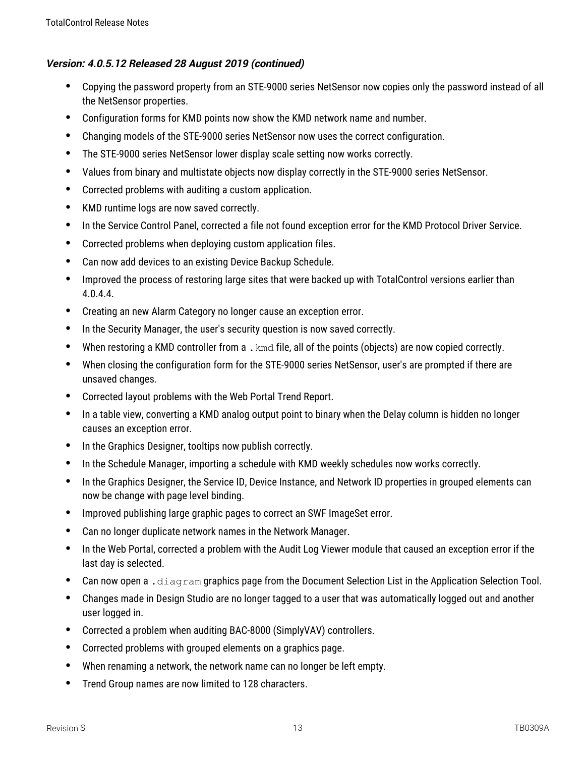- Copying the password property from an STE-9000 series NetSensor now copies only the password instead of all the NetSensor properties.
- Configuration forms for KMD points now show the KMD network name and number.
- Changing models of the STE-9000 series NetSensor now uses the correct configuration.
- The STE-9000 series NetSensor lower display scale setting now works correctly.
- Values from binary and multistate objects now display correctly in the STE-9000 series NetSensor.
- Corrected problems with auditing a custom application.
- KMD runtime logs are now saved correctly.
- In the Service Control Panel, corrected a file not found exception error for the KMD Protocol Driver Service.
- Corrected problems when deploying custom application files.
- Can now add devices to an existing Device Backup Schedule.
- Improved the process of restoring large sites that were backed up with TotalControl versions earlier than 4.0.4.4.
- Creating an new Alarm Category no longer cause an exception error.
- In the Security Manager, the user's security question is now saved correctly.
- When restoring a KMD controller from a .kmd file, all of the points (objects) are now copied correctly.
- When closing the configuration form for the STE-9000 series NetSensor, user's are prompted if there are unsaved changes.
- Corrected layout problems with the Web Portal Trend Report.
- In a table view, converting a KMD analog output point to binary when the Delay column is hidden no longer causes an exception error.
- In the Graphics Designer, tooltips now publish correctly.
- In the Schedule Manager, importing a schedule with KMD weekly schedules now works correctly.
- In the Graphics Designer, the Service ID, Device Instance, and Network ID properties in grouped elements can now be change with page level binding.
- Improved publishing large graphic pages to correct an SWF ImageSet error.
- Can no longer duplicate network names in the Network Manager.
- In the Web Portal, corrected a problem with the Audit Log Viewer module that caused an exception error if the last day is selected.
- **Can now open a** .  $diagram$  graphics page from the Document Selection List in the Application Selection Tool.
- Changes made in Design Studio are no longer tagged to a user that was automatically logged out and another user logged in.
- Corrected a problem when auditing BAC-8000 (SimplyVAV) controllers.
- Corrected problems with grouped elements on a graphics page.
- When renaming a network, the network name can no longer be left empty.
- Trend Group names are now limited to 128 characters.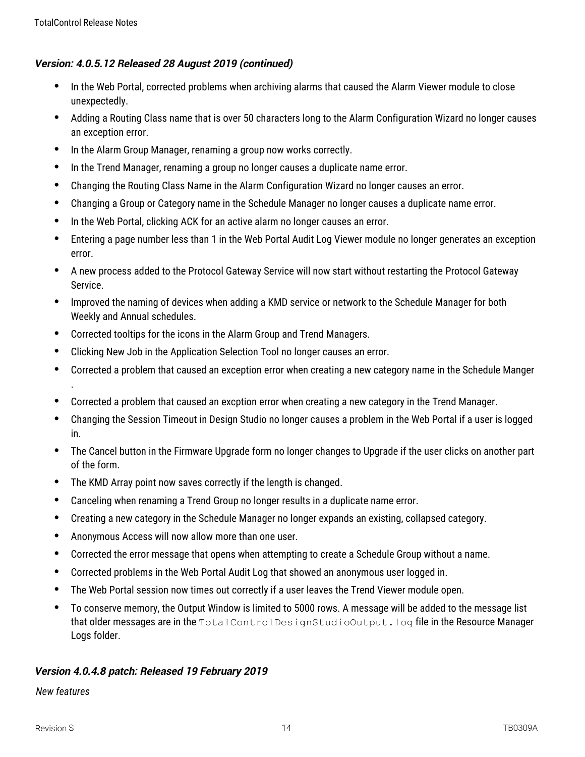- In the Web Portal, corrected problems when archiving alarms that caused the Alarm Viewer module to close unexpectedly.
- Adding a Routing Class name that is over 50 characters long to the Alarm Configuration Wizard no longer causes an exception error.
- In the Alarm Group Manager, renaming a group now works correctly.
- In the Trend Manager, renaming a group no longer causes a duplicate name error.
- Changing the Routing Class Name in the Alarm Configuration Wizard no longer causes an error.
- Changing a Group or Category name in the Schedule Manager no longer causes a duplicate name error.
- In the Web Portal, clicking ACK for an active alarm no longer causes an error.
- Entering a page number less than 1 in the Web Portal Audit Log Viewer module no longer generates an exception error.
- A new process added to the Protocol Gateway Service will now start without restarting the Protocol Gateway Service.
- Improved the naming of devices when adding a KMD service or network to the Schedule Manager for both Weekly and Annual schedules.
- Corrected tooltips for the icons in the Alarm Group and Trend Managers.
- Clicking New Job in the Application Selection Tool no longer causes an error.
- Corrected a problem that caused an exception error when creating a new category name in the Schedule Manger
- Corrected a problem that caused an excption error when creating a new category in the Trend Manager.
- Changing the Session Timeout in Design Studio no longer causes a problem in the Web Portal if a user is logged in.
- The Cancel button in the Firmware Upgrade form no longer changes to Upgrade if the user clicks on another part of the form.
- The KMD Array point now saves correctly if the length is changed.
- Canceling when renaming a Trend Group no longer results in a duplicate name error.
- Creating a new category in the Schedule Manager no longer expands an existing, collapsed category.
- Anonymous Access will now allow more than one user.
- Corrected the error message that opens when attempting to create a Schedule Group without a name.
- Corrected problems in the Web Portal Audit Log that showed an anonymous user logged in.
- The Web Portal session now times out correctly if a user leaves the Trend Viewer module open.
- To conserve memory, the Output Window is limited to 5000 rows. A message will be added to the message list that older messages are in the TotalControlDesignStudioOutput.log file in the Resource Manager Logs folder.

# **Version 4.0.4.8 patch: Released 19 February 2019**

#### *New features*

.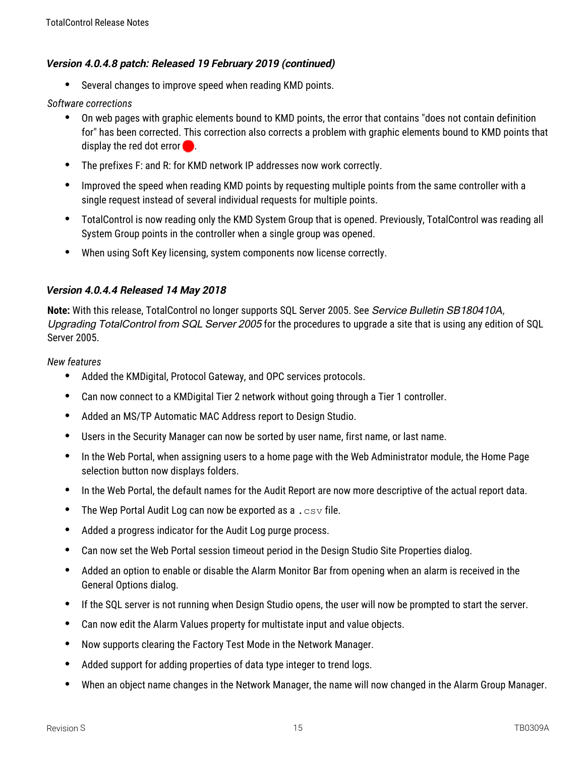## **Version 4.0.4.8 patch: Released 19 February 2019 (continued)**

Several changes to improve speed when reading KMD points.

#### *Software corrections*

- On web pages with graphic elements bound to KMD points, the error that contains "does not contain definition for" has been corrected. This correction also corrects a problem with graphic elements bound to KMD points that display the red dot error  $\Box$ .
- The prefixes F: and R: for KMD network IP addresses now work correctly.
- Improved the speed when reading KMD points by requesting multiple points from the same controller with a single request instead of several individual requests for multiple points.
- TotalControl is now reading only the KMD System Group that is opened. Previously, TotalControl was reading all System Group points in the controller when a single group was opened.
- When using Soft Key licensing, system components now license correctly.

#### **Version 4.0.4.4 Released 14 May 2018**

**Note:** With this release, TotalControl no longer supports SQL Server 2005. See Service Bulletin SB180410A, Upgrading TotalControl from SQL Server 2005 for the procedures to upgrade a site that is using any edition of SQL Server 2005.

- Added the KMDigital, Protocol Gateway, and OPC services protocols.
- Can now connect to a KMDigital Tier 2 network without going through a Tier 1 controller.
- Added an MS/TP Automatic MAC Address report to Design Studio.
- Users in the Security Manager can now be sorted by user name, first name, or last name.
- In the Web Portal, when assigning users to a home page with the Web Administrator module, the Home Page selection button now displays folders.
- In the Web Portal, the default names for the Audit Report are now more descriptive of the actual report data.
- The Wep Portal Audit Log can now be exported as a  $. \cos v$  file.
- Added a progress indicator for the Audit Log purge process.
- Can now set the Web Portal session timeout period in the Design Studio Site Properties dialog.
- Added an option to enable or disable the Alarm Monitor Bar from opening when an alarm is received in the General Options dialog.
- If the SQL server is not running when Design Studio opens, the user will now be prompted to start the server.
- Can now edit the Alarm Values property for multistate input and value objects.
- Now supports clearing the Factory Test Mode in the Network Manager.
- Added support for adding properties of data type integer to trend logs.
- When an object name changes in the Network Manager, the name will now changed in the Alarm Group Manager.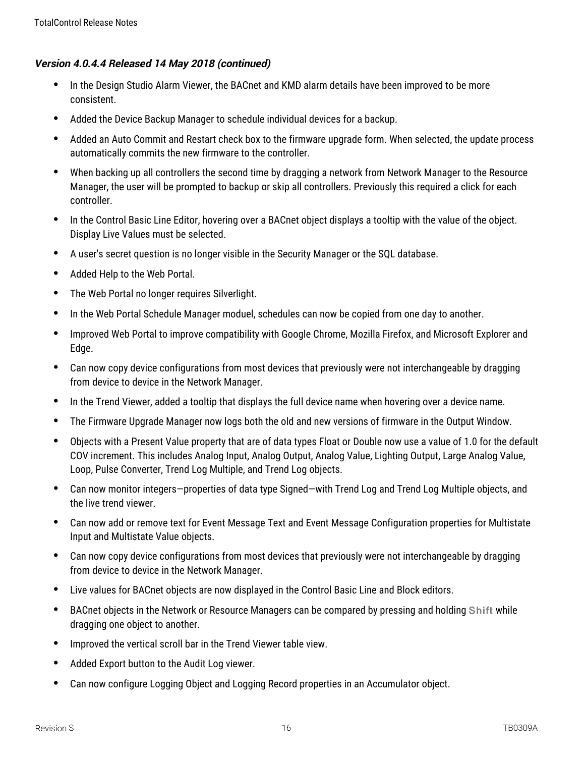- In the Design Studio Alarm Viewer, the BACnet and KMD alarm details have been improved to be more consistent.
- Added the Device Backup Manager to schedule individual devices for a backup.
- Added an Auto Commit and Restart check box to the firmware upgrade form. When selected, the update process automatically commits the new firmware to the controller.
- When backing up all controllers the second time by dragging a network from Network Manager to the Resource Manager, the user will be prompted to backup or skip all controllers. Previously this required a click for each controller.
- In the Control Basic Line Editor, hovering over a BACnet object displays a tooltip with the value of the object. Display Live Values must be selected.
- A user's secret question is no longer visible in the Security Manager or the SQL database.
- Added Help to the Web Portal.
- The Web Portal no longer requires Silverlight.
- In the Web Portal Schedule Manager moduel, schedules can now be copied from one day to another.
- Improved Web Portal to improve compatibility with Google Chrome, Mozilla Firefox, and Microsoft Explorer and Edge.
- Can now copy device configurations from most devices that previously were not interchangeable by dragging from device to device in the Network Manager.
- In the Trend Viewer, added a tooltip that displays the full device name when hovering over a device name.
- The Firmware Upgrade Manager now logs both the old and new versions of firmware in the Output Window.
- Objects with a Present Value property that are of data types Float or Double now use a value of 1.0 for the default COV increment. This includes Analog Input, Analog Output, Analog Value, Lighting Output, Large Analog Value, Loop, Pulse Converter, Trend Log Multiple, and Trend Log objects.
- Can now monitor integers—properties of data type Signed—with Trend Log and Trend Log Multiple objects, and the live trend viewer.
- Can now add or remove text for Event Message Text and Event Message Configuration properties for Multistate Input and Multistate Value objects.
- Can now copy device configurations from most devices that previously were not interchangeable by dragging from device to device in the Network Manager.
- Live values for BACnet objects are now displayed in the Control Basic Line and Block editors.
- BACnet objects in the Network or Resource Managers can be compared by pressing and holding Shift while dragging one object to another.
- Improved the vertical scroll bar in the Trend Viewer table view.
- Added Export button to the Audit Log viewer.
- Can now configure Logging Object and Logging Record properties in an Accumulator object.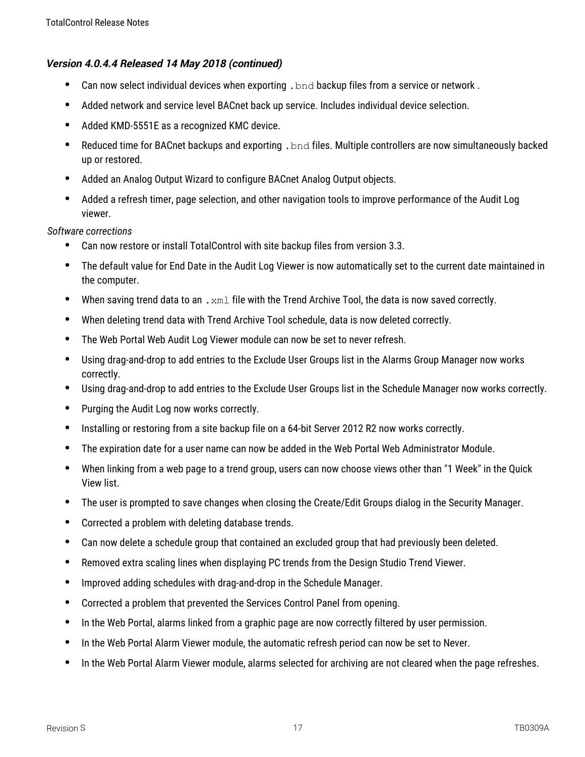- Can now select individual devices when exporting .  $bnd$  backup files from a service or network.
- Added network and service level BACnet back up service. Includes individual device selection.
- Added KMD-5551E as a recognized KMC device.
- Reduced time for BACnet backups and exporting .  $bnd$  files. Multiple controllers are now simultaneously backed up or restored.
- Added an Analog Output Wizard to configure BACnet Analog Output objects.
- Added a refresh timer, page selection, and other navigation tools to improve performance of the Audit Log viewer.

- Can now restore or install TotalControl with site backup files from version 3.3.
- The default value for End Date in the Audit Log Viewer is now automatically set to the current date maintained in the computer.
- When saving trend data to an  $\ldots$   $\ldots$  file with the Trend Archive Tool, the data is now saved correctly.
- When deleting trend data with Trend Archive Tool schedule, data is now deleted correctly.
- The Web Portal Web Audit Log Viewer module can now be set to never refresh.
- Using drag-and-drop to add entries to the Exclude User Groups list in the Alarms Group Manager now works correctly.
- Using drag-and-drop to add entries to the Exclude User Groups list in the Schedule Manager now works correctly.
- Purging the Audit Log now works correctly.
- Installing or restoring from a site backup file on a 64-bit Server 2012 R2 now works correctly.
- The expiration date for a user name can now be added in the Web Portal Web Administrator Module.
- When linking from a web page to a trend group, users can now choose views other than "1 Week" in the Quick View list.
- The user is prompted to save changes when closing the Create/Edit Groups dialog in the Security Manager.
- Corrected a problem with deleting database trends.
- Can now delete a schedule group that contained an excluded group that had previously been deleted.
- Removed extra scaling lines when displaying PC trends from the Design Studio Trend Viewer.
- Improved adding schedules with drag-and-drop in the Schedule Manager.
- Corrected a problem that prevented the Services Control Panel from opening.
- In the Web Portal, alarms linked from a graphic page are now correctly filtered by user permission.
- In the Web Portal Alarm Viewer module, the automatic refresh period can now be set to Never.
- In the Web Portal Alarm Viewer module, alarms selected for archiving are not cleared when the page refreshes.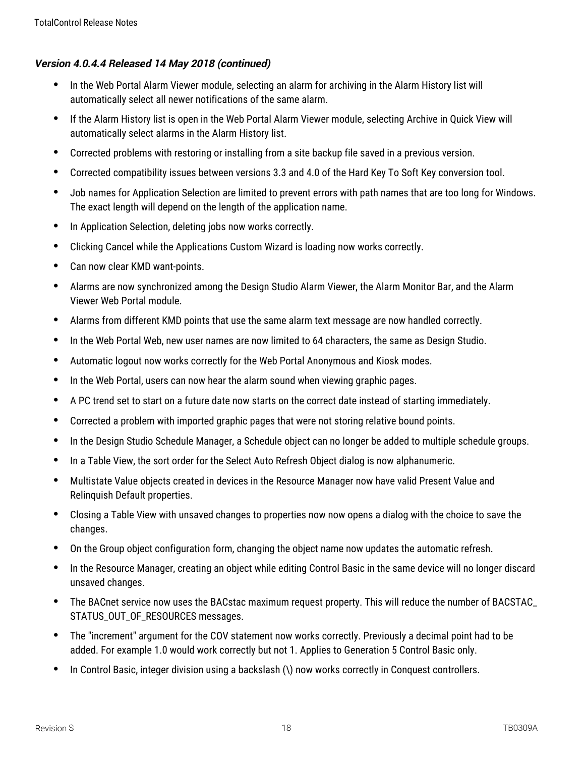- In the Web Portal Alarm Viewer module, selecting an alarm for archiving in the Alarm History list will automatically select all newer notifications of the same alarm.
- If the Alarm History list is open in the Web Portal Alarm Viewer module, selecting Archive in Quick View will automatically select alarms in the Alarm History list.
- Corrected problems with restoring or installing from a site backup file saved in a previous version.
- Corrected compatibility issues between versions 3.3 and 4.0 of the Hard Key To Soft Key conversion tool.
- Job names for Application Selection are limited to prevent errors with path names that are too long for Windows. The exact length will depend on the length of the application name.
- In Application Selection, deleting jobs now works correctly.
- Clicking Cancel while the Applications Custom Wizard is loading now works correctly.
- Can now clear KMD want-points.
- Alarms are now synchronized among the Design Studio Alarm Viewer, the Alarm Monitor Bar, and the Alarm Viewer Web Portal module.
- Alarms from different KMD points that use the same alarm text message are now handled correctly.
- In the Web Portal Web, new user names are now limited to 64 characters, the same as Design Studio.
- Automatic logout now works correctly for the Web Portal Anonymous and Kiosk modes.
- In the Web Portal, users can now hear the alarm sound when viewing graphic pages.
- A PC trend set to start on a future date now starts on the correct date instead of starting immediately.
- Corrected a problem with imported graphic pages that were not storing relative bound points.
- In the Design Studio Schedule Manager, a Schedule object can no longer be added to multiple schedule groups.
- In a Table View, the sort order for the Select Auto Refresh Object dialog is now alphanumeric.
- Multistate Value objects created in devices in the Resource Manager now have valid Present Value and Relinquish Default properties.
- Closing a Table View with unsaved changes to properties now now opens a dialog with the choice to save the changes.
- On the Group object configuration form, changing the object name now updates the automatic refresh.
- In the Resource Manager, creating an object while editing Control Basic in the same device will no longer discard unsaved changes.
- The BACnet service now uses the BACstac maximum request property. This will reduce the number of BACSTAC\_ STATUS\_OUT\_OF\_RESOURCES messages.
- The "increment" argument for the COV statement now works correctly. Previously a decimal point had to be added. For example 1.0 would work correctly but not 1. Applies to Generation 5 Control Basic only.
- In Control Basic, integer division using a backslash (\) now works correctly in Conquest controllers.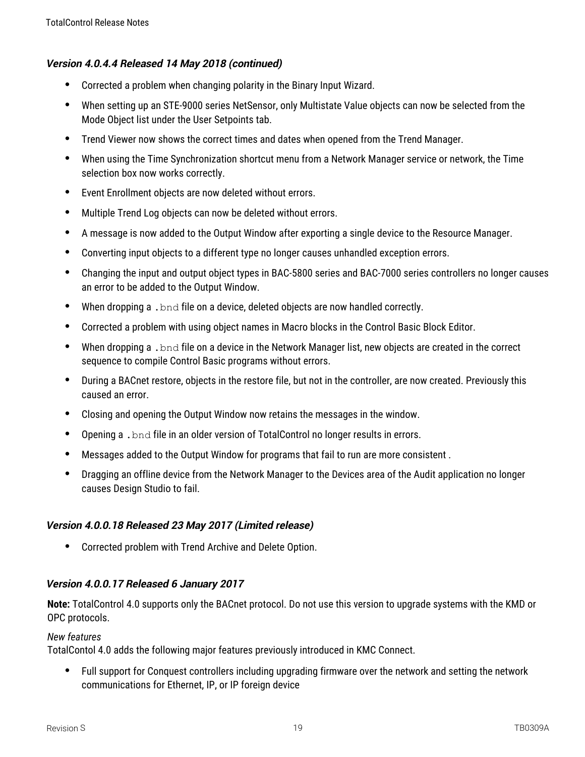- Corrected a problem when changing polarity in the Binary Input Wizard.
- When setting up an STE-9000 series NetSensor, only Multistate Value objects can now be selected from the Mode Object list under the User Setpoints tab.
- Trend Viewer now shows the correct times and dates when opened from the Trend Manager.
- When using the Time Synchronization shortcut menu from a Network Manager service or network, the Time selection box now works correctly.
- Event Enrollment objects are now deleted without errors.
- Multiple Trend Log objects can now be deleted without errors.
- A message is now added to the Output Window after exporting a single device to the Resource Manager.
- Converting input objects to a different type no longer causes unhandled exception errors.
- Changing the input and output object types in BAC-5800 series and BAC-7000 series controllers no longer causes an error to be added to the Output Window.
- When dropping a .bnd file on a device, deleted objects are now handled correctly.
- Corrected a problem with using object names in Macro blocks in the Control Basic Block Editor.
- When dropping a . bnd file on a device in the Network Manager list, new objects are created in the correct sequence to compile Control Basic programs without errors.
- During a BACnet restore, objects in the restore file, but not in the controller, are now created. Previously this caused an error.
- Closing and opening the Output Window now retains the messages in the window.
- Opening a .bnd file in an older version of TotalControl no longer results in errors.
- Messages added to the Output Window for programs that fail to run are more consistent .
- Dragging an offline device from the Network Manager to the Devices area of the Audit application no longer causes Design Studio to fail.

# **Version 4.0.0.18 Released 23 May 2017 (Limited release)**

Corrected problem with Trend Archive and Delete Option.

# **Version 4.0.0.17 Released 6 January 2017**

**Note:** TotalControl 4.0 supports only the BACnet protocol. Do not use this version to upgrade systems with the KMD or OPC protocols.

## *New features*

TotalContol 4.0 adds the following major features previously introduced in KMC Connect.

 Full support for Conquest controllers including upgrading firmware over the network and setting the network communications for Ethernet, IP, or IP foreign device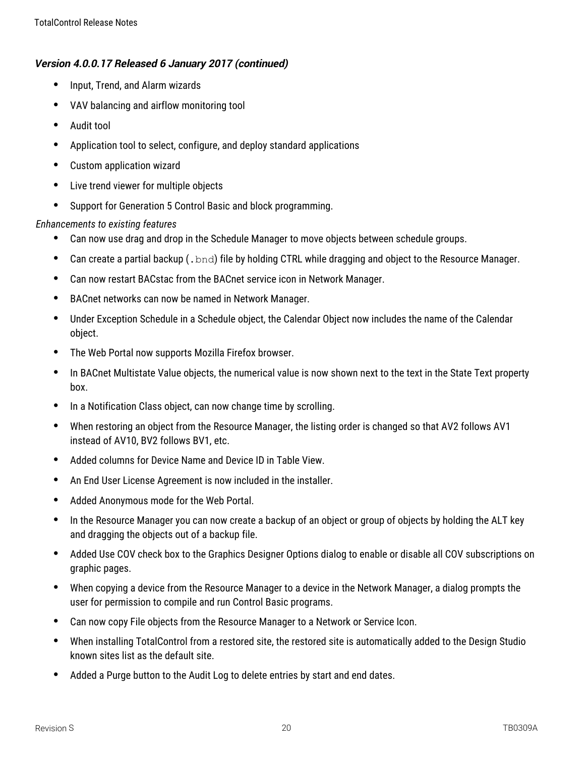- Input, Trend, and Alarm wizards
- VAV balancing and airflow monitoring tool
- Audit tool
- Application tool to select, configure, and deploy standard applications
- Custom application wizard
- Live trend viewer for multiple objects
- Support for Generation 5 Control Basic and block programming.

### *Enhancements to existing features*

- Can now use drag and drop in the Schedule Manager to move objects between schedule groups.
- Can create a partial backup  $(.\text{bnd})$  file by holding CTRL while dragging and object to the Resource Manager.
- Can now restart BACstac from the BACnet service icon in Network Manager.
- BACnet networks can now be named in Network Manager.
- Under Exception Schedule in a Schedule object, the Calendar Object now includes the name of the Calendar object.
- The Web Portal now supports Mozilla Firefox browser.
- In BACnet Multistate Value objects, the numerical value is now shown next to the text in the State Text property box.
- In a Notification Class object, can now change time by scrolling.
- When restoring an object from the Resource Manager, the listing order is changed so that AV2 follows AV1 instead of AV10, BV2 follows BV1, etc.
- Added columns for Device Name and Device ID in Table View.
- An End User License Agreement is now included in the installer.
- Added Anonymous mode for the Web Portal.
- In the Resource Manager you can now create a backup of an object or group of objects by holding the ALT key and dragging the objects out of a backup file.
- Added Use COV check box to the Graphics Designer Options dialog to enable or disable all COV subscriptions on graphic pages.
- When copying a device from the Resource Manager to a device in the Network Manager, a dialog prompts the user for permission to compile and run Control Basic programs.
- Can now copy File objects from the Resource Manager to a Network or Service Icon.
- When installing TotalControl from a restored site, the restored site is automatically added to the Design Studio known sites list as the default site.
- Added a Purge button to the Audit Log to delete entries by start and end dates.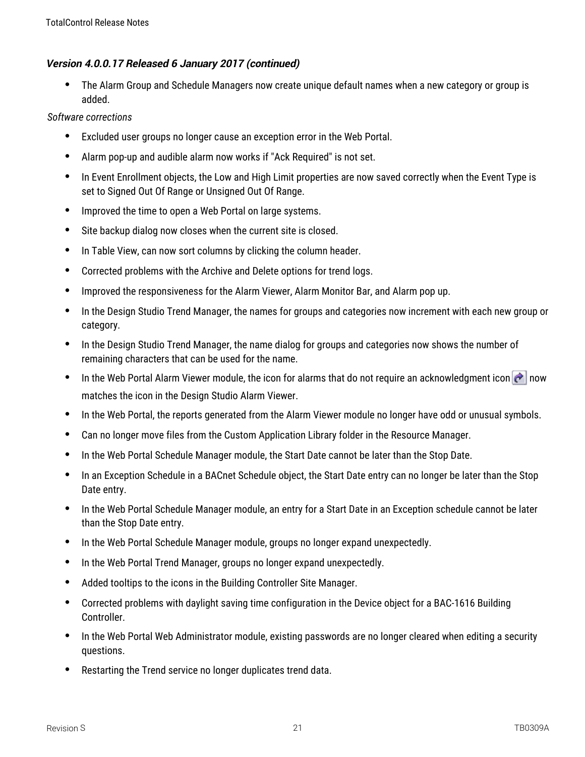The Alarm Group and Schedule Managers now create unique default names when a new category or group is added.

- Excluded user groups no longer cause an exception error in the Web Portal.
- Alarm pop-up and audible alarm now works if "Ack Required" is not set.
- In Event Enrollment objects, the Low and High Limit properties are now saved correctly when the Event Type is set to Signed Out Of Range or Unsigned Out Of Range.
- Improved the time to open a Web Portal on large systems.
- Site backup dialog now closes when the current site is closed.
- In Table View, can now sort columns by clicking the column header.
- Corrected problems with the Archive and Delete options for trend logs.
- Improved the responsiveness for the Alarm Viewer, Alarm Monitor Bar, and Alarm pop up.
- In the Design Studio Trend Manager, the names for groups and categories now increment with each new group or category.
- In the Design Studio Trend Manager, the name dialog for groups and categories now shows the number of remaining characters that can be used for the name.
- In the Web Portal Alarm Viewer module, the icon for alarms that do not require an acknowledgment icon  $\left| \hat{\mathbf{c}} \right|$  now matches the icon in the Design Studio Alarm Viewer.
- In the Web Portal, the reports generated from the Alarm Viewer module no longer have odd or unusual symbols.
- Can no longer move files from the Custom Application Library folder in the Resource Manager.
- In the Web Portal Schedule Manager module, the Start Date cannot be later than the Stop Date.
- In an Exception Schedule in a BACnet Schedule object, the Start Date entry can no longer be later than the Stop Date entry.
- In the Web Portal Schedule Manager module, an entry for a Start Date in an Exception schedule cannot be later than the Stop Date entry.
- In the Web Portal Schedule Manager module, groups no longer expand unexpectedly.
- In the Web Portal Trend Manager, groups no longer expand unexpectedly.
- Added tooltips to the icons in the Building Controller Site Manager.
- Corrected problems with daylight saving time configuration in the Device object for a BAC-1616 Building Controller.
- In the Web Portal Web Administrator module, existing passwords are no longer cleared when editing a security questions.
- Restarting the Trend service no longer duplicates trend data.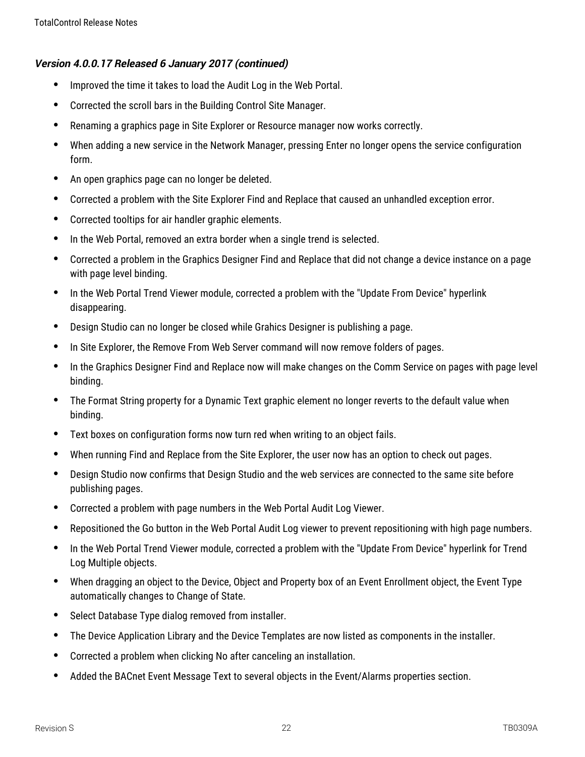- Improved the time it takes to load the Audit Log in the Web Portal.
- Corrected the scroll bars in the Building Control Site Manager.
- Renaming a graphics page in Site Explorer or Resource manager now works correctly.
- When adding a new service in the Network Manager, pressing Enter no longer opens the service configuration form.
- An open graphics page can no longer be deleted.
- Corrected a problem with the Site Explorer Find and Replace that caused an unhandled exception error.
- Corrected tooltips for air handler graphic elements.
- In the Web Portal, removed an extra border when a single trend is selected.
- Corrected a problem in the Graphics Designer Find and Replace that did not change a device instance on a page with page level binding.
- In the Web Portal Trend Viewer module, corrected a problem with the "Update From Device" hyperlink disappearing.
- Design Studio can no longer be closed while Grahics Designer is publishing a page.
- In Site Explorer, the Remove From Web Server command will now remove folders of pages.
- In the Graphics Designer Find and Replace now will make changes on the Comm Service on pages with page level binding.
- The Format String property for a Dynamic Text graphic element no longer reverts to the default value when binding.
- Text boxes on configuration forms now turn red when writing to an object fails.
- When running Find and Replace from the Site Explorer, the user now has an option to check out pages.
- Design Studio now confirms that Design Studio and the web services are connected to the same site before publishing pages.
- Corrected a problem with page numbers in the Web Portal Audit Log Viewer.
- Repositioned the Go button in the Web Portal Audit Log viewer to prevent repositioning with high page numbers.
- In the Web Portal Trend Viewer module, corrected a problem with the "Update From Device" hyperlink for Trend Log Multiple objects.
- When dragging an object to the Device, Object and Property box of an Event Enrollment object, the Event Type automatically changes to Change of State.
- Select Database Type dialog removed from installer.
- The Device Application Library and the Device Templates are now listed as components in the installer.
- Corrected a problem when clicking No after canceling an installation.
- Added the BACnet Event Message Text to several objects in the Event/Alarms properties section.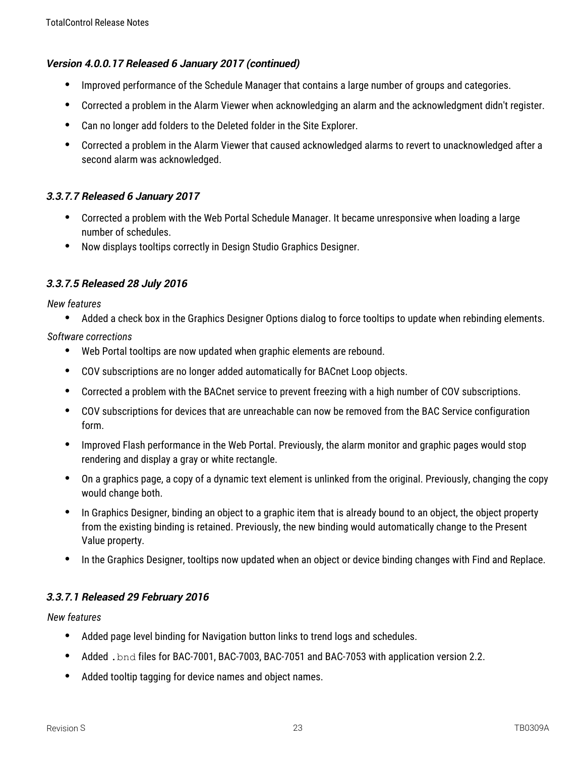- Improved performance of the Schedule Manager that contains a large number of groups and categories.
- Corrected a problem in the Alarm Viewer when acknowledging an alarm and the acknowledgment didn't register.
- Can no longer add folders to the Deleted folder in the Site Explorer.
- Corrected a problem in the Alarm Viewer that caused acknowledged alarms to revert to unacknowledged after a second alarm was acknowledged.

## **3.3.7.7 Released 6 January 2017**

- Corrected a problem with the Web Portal Schedule Manager. It became unresponsive when loading a large number of schedules.
- Now displays tooltips correctly in Design Studio Graphics Designer.

## **3.3.7.5 Released 28 July 2016**

*New features*

Added a check box in the Graphics Designer Options dialog to force tooltips to update when rebinding elements.

*Software corrections*

- Web Portal tooltips are now updated when graphic elements are rebound.
- COV subscriptions are no longer added automatically for BACnet Loop objects.
- Corrected a problem with the BACnet service to prevent freezing with a high number of COV subscriptions.
- COV subscriptions for devices that are unreachable can now be removed from the BAC Service configuration form.
- Improved Flash performance in the Web Portal. Previously, the alarm monitor and graphic pages would stop rendering and display a gray or white rectangle.
- On a graphics page, a copy of a dynamic text element is unlinked from the original. Previously, changing the copy would change both.
- In Graphics Designer, binding an object to a graphic item that is already bound to an object, the object property from the existing binding is retained. Previously, the new binding would automatically change to the Present Value property.
- In the Graphics Designer, tooltips now updated when an object or device binding changes with Find and Replace.

# **3.3.7.1 Released 29 February 2016**

- Added page level binding for Navigation button links to trend logs and schedules.
- Added .bnd files for BAC-7001, BAC-7003, BAC-7051 and BAC-7053 with application version 2.2.
- Added tooltip tagging for device names and object names.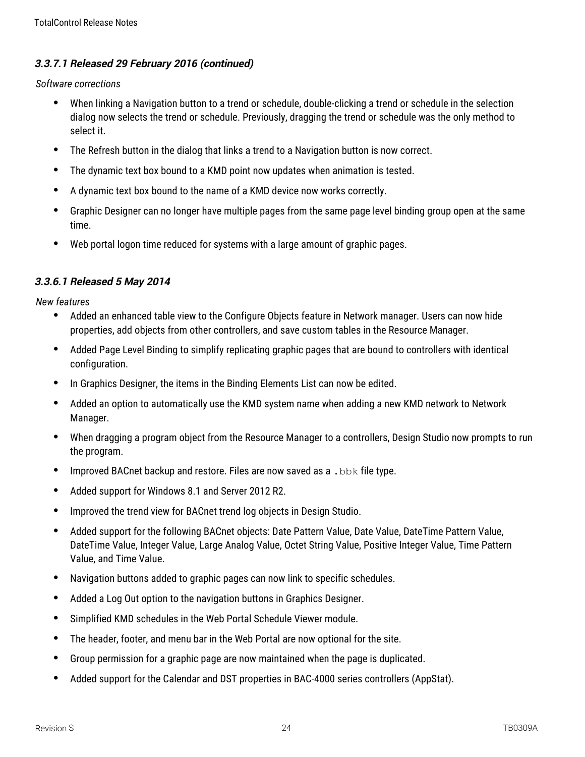# **3.3.7.1 Released 29 February 2016 (continued)**

*Software corrections*

- When linking a Navigation button to a trend or schedule, double-clicking a trend or schedule in the selection dialog now selects the trend or schedule. Previously, dragging the trend or schedule was the only method to select it.
- The Refresh button in the dialog that links a trend to a Navigation button is now correct.
- The dynamic text box bound to a KMD point now updates when animation is tested.
- A dynamic text box bound to the name of a KMD device now works correctly.
- Graphic Designer can no longer have multiple pages from the same page level binding group open at the same time.
- Web portal logon time reduced for systems with a large amount of graphic pages.

#### **3.3.6.1 Released 5 May 2014**

- Added an enhanced table view to the Configure Objects feature in Network manager. Users can now hide properties, add objects from other controllers, and save custom tables in the Resource Manager.
- Added Page Level Binding to simplify replicating graphic pages that are bound to controllers with identical configuration.
- In Graphics Designer, the items in the Binding Elements List can now be edited.
- Added an option to automatically use the KMD system name when adding a new KMD network to Network Manager.
- When dragging a program object from the Resource Manager to a controllers, Design Studio now prompts to run the program.
- Improved BACnet backup and restore. Files are now saved as a . bbk file type.
- Added support for Windows 8.1 and Server 2012 R2.
- Improved the trend view for BACnet trend log objects in Design Studio.
- Added support for the following BACnet objects: Date Pattern Value, Date Value, DateTime Pattern Value, DateTime Value, Integer Value, Large Analog Value, Octet String Value, Positive Integer Value, Time Pattern Value, and Time Value.
- Navigation buttons added to graphic pages can now link to specific schedules.
- Added a Log Out option to the navigation buttons in Graphics Designer.
- Simplified KMD schedules in the Web Portal Schedule Viewer module.
- The header, footer, and menu bar in the Web Portal are now optional for the site.
- Group permission for a graphic page are now maintained when the page is duplicated.
- Added support for the Calendar and DST properties in BAC-4000 series controllers (AppStat).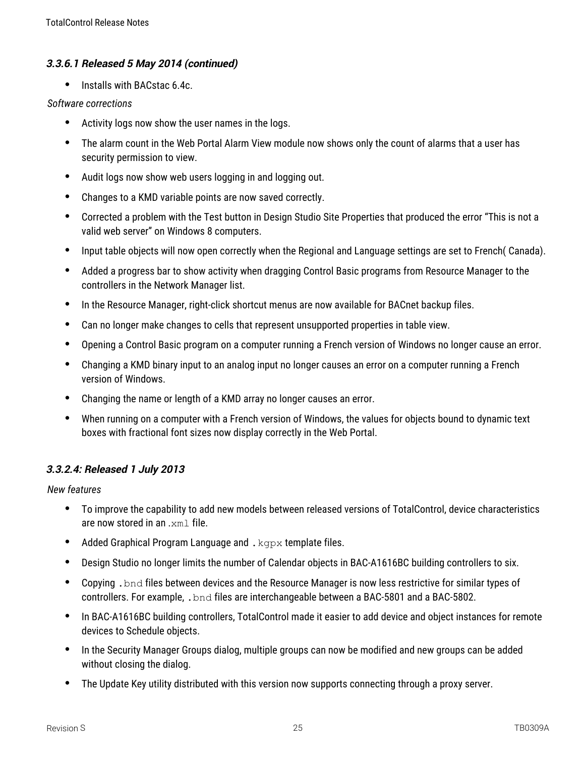#### **3.3.6.1 Released 5 May 2014 (continued)**

• Installs with BACstac 6.4c.

#### *Software corrections*

- Activity logs now show the user names in the logs.
- The alarm count in the Web Portal Alarm View module now shows only the count of alarms that a user has security permission to view.
- Audit logs now show web users logging in and logging out.
- Changes to a KMD variable points are now saved correctly.
- Corrected a problem with the Test button in Design Studio Site Properties that produced the error "This is not a valid web server" on Windows 8 computers.
- Input table objects will now open correctly when the Regional and Language settings are set to French( Canada).
- Added a progress bar to show activity when dragging Control Basic programs from Resource Manager to the controllers in the Network Manager list.
- In the Resource Manager, right-click shortcut menus are now available for BACnet backup files.
- Can no longer make changes to cells that represent unsupported properties in table view.
- Opening a Control Basic program on a computer running a French version of Windows no longer cause an error.
- Changing a KMD binary input to an analog input no longer causes an error on a computer running a French version of Windows.
- Changing the name or length of a KMD array no longer causes an error.
- When running on a computer with a French version of Windows, the values for objects bound to dynamic text boxes with fractional font sizes now display correctly in the Web Portal.

#### **3.3.2.4: Released 1 July 2013**

- To improve the capability to add new models between released versions of TotalControl, device characteristics are now stored in an .xml file.
- Added Graphical Program Language and .  $kqpx$  template files.
- Design Studio no longer limits the number of Calendar objects in BAC-A1616BC building controllers to six.
- Copying .bnd files between devices and the Resource Manager is now less restrictive for similar types of controllers. For example, .bnd files are interchangeable between a BAC-5801 and a BAC-5802.
- In BAC-A1616BC building controllers, TotalControl made it easier to add device and object instances for remote devices to Schedule objects.
- In the Security Manager Groups dialog, multiple groups can now be modified and new groups can be added without closing the dialog.
- The Update Key utility distributed with this version now supports connecting through a proxy server.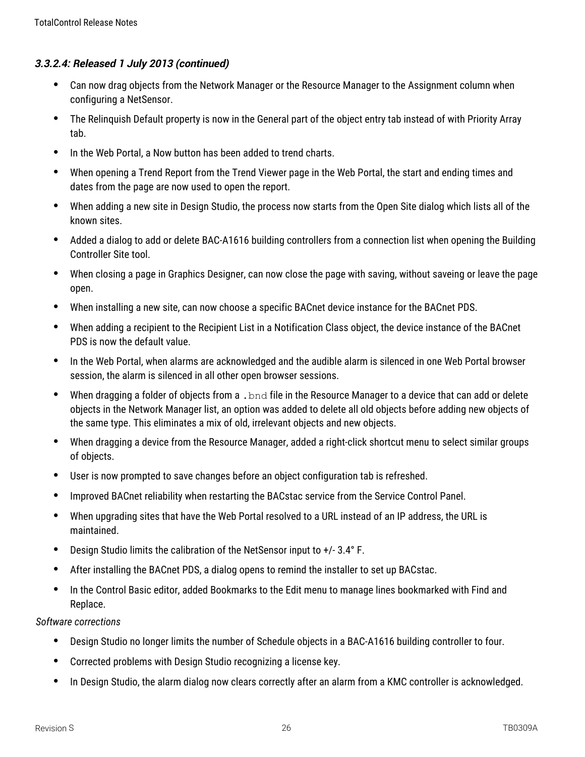- Can now drag objects from the Network Manager or the Resource Manager to the Assignment column when configuring a NetSensor.
- The Relinquish Default property is now in the General part of the object entry tab instead of with Priority Array tab.
- In the Web Portal, a Now button has been added to trend charts.
- When opening a Trend Report from the Trend Viewer page in the Web Portal, the start and ending times and dates from the page are now used to open the report.
- When adding a new site in Design Studio, the process now starts from the Open Site dialog which lists all of the known sites.
- Added a dialog to add or delete BAC-A1616 building controllers from a connection list when opening the Building Controller Site tool.
- When closing a page in Graphics Designer, can now close the page with saving, without saveing or leave the page open.
- When installing a new site, can now choose a specific BACnet device instance for the BACnet PDS.
- When adding a recipient to the Recipient List in a Notification Class object, the device instance of the BACnet PDS is now the default value.
- In the Web Portal, when alarms are acknowledged and the audible alarm is silenced in one Web Portal browser session, the alarm is silenced in all other open browser sessions.
- When dragging a folder of objects from a . bnd file in the Resource Manager to a device that can add or delete objects in the Network Manager list, an option was added to delete all old objects before adding new objects of the same type. This eliminates a mix of old, irrelevant objects and new objects.
- When dragging a device from the Resource Manager, added a right-click shortcut menu to select similar groups of objects.
- User is now prompted to save changes before an object configuration tab is refreshed.
- Improved BACnet reliability when restarting the BACstac service from the Service Control Panel.
- When upgrading sites that have the Web Portal resolved to a URL instead of an IP address, the URL is maintained.
- Design Studio limits the calibration of the NetSensor input to +/- 3.4° F.
- After installing the BACnet PDS, a dialog opens to remind the installer to set up BACstac.
- In the Control Basic editor, added Bookmarks to the Edit menu to manage lines bookmarked with Find and Replace.

- Design Studio no longer limits the number of Schedule objects in a BAC-A1616 building controller to four.
- Corrected problems with Design Studio recognizing a license key.
- In Design Studio, the alarm dialog now clears correctly after an alarm from a KMC controller is acknowledged.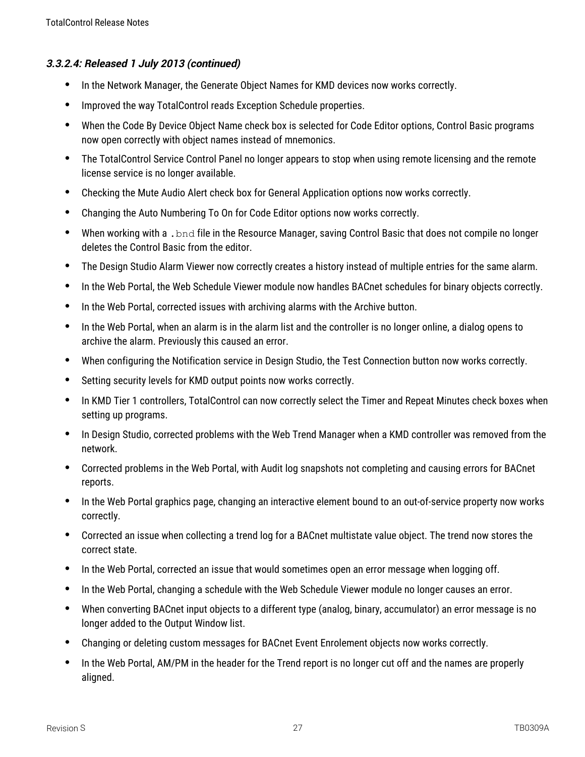- In the Network Manager, the Generate Object Names for KMD devices now works correctly.
- Improved the way TotalControl reads Exception Schedule properties.
- When the Code By Device Object Name check box is selected for Code Editor options, Control Basic programs now open correctly with object names instead of mnemonics.
- The TotalControl Service Control Panel no longer appears to stop when using remote licensing and the remote license service is no longer available.
- Checking the Mute Audio Alert check box for General Application options now works correctly.
- Changing the Auto Numbering To On for Code Editor options now works correctly.
- When working with a . bnd file in the Resource Manager, saving Control Basic that does not compile no longer deletes the Control Basic from the editor.
- The Design Studio Alarm Viewer now correctly creates a history instead of multiple entries for the same alarm.
- In the Web Portal, the Web Schedule Viewer module now handles BACnet schedules for binary objects correctly.
- In the Web Portal, corrected issues with archiving alarms with the Archive button.
- In the Web Portal, when an alarm is in the alarm list and the controller is no longer online, a dialog opens to archive the alarm. Previously this caused an error.
- When configuring the Notification service in Design Studio, the Test Connection button now works correctly.
- Setting security levels for KMD output points now works correctly.
- In KMD Tier 1 controllers, TotalControl can now correctly select the Timer and Repeat Minutes check boxes when setting up programs.
- In Design Studio, corrected problems with the Web Trend Manager when a KMD controller was removed from the network.
- Corrected problems in the Web Portal, with Audit log snapshots not completing and causing errors for BACnet reports.
- In the Web Portal graphics page, changing an interactive element bound to an out-of-service property now works correctly.
- Corrected an issue when collecting a trend log for a BACnet multistate value object. The trend now stores the correct state.
- In the Web Portal, corrected an issue that would sometimes open an error message when logging off.
- In the Web Portal, changing a schedule with the Web Schedule Viewer module no longer causes an error.
- When converting BACnet input objects to a different type (analog, binary, accumulator) an error message is no longer added to the Output Window list.
- Changing or deleting custom messages for BACnet Event Enrolement objects now works correctly.
- In the Web Portal, AM/PM in the header for the Trend report is no longer cut off and the names are properly aligned.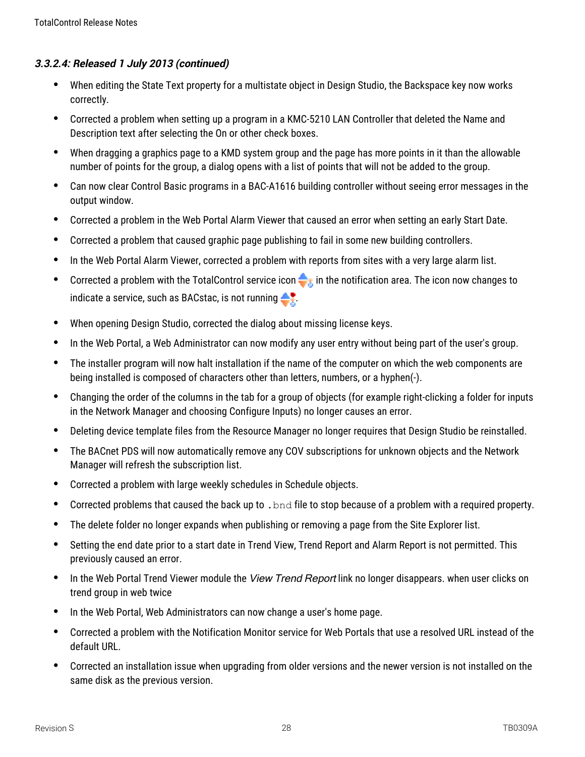- When editing the State Text property for a multistate object in Design Studio, the Backspace key now works correctly.
- Corrected a problem when setting up a program in a KMC-5210 LAN Controller that deleted the Name and Description text after selecting the On or other check boxes.
- When dragging a graphics page to a KMD system group and the page has more points in it than the allowable number of points for the group, a dialog opens with a list of points that will not be added to the group.
- Can now clear Control Basic programs in a BAC-A1616 building controller without seeing error messages in the output window.
- Corrected a problem in the Web Portal Alarm Viewer that caused an error when setting an early Start Date.
- Corrected a problem that caused graphic page publishing to fail in some new building controllers.
- In the Web Portal Alarm Viewer, corrected a problem with reports from sites with a very large alarm list.
- Corrected a problem with the TotalControl service icon  $\bigoplus_{\hat{z}}$  in the notification area. The icon now changes to indicate a service, such as BACstac, is not running  $\bullet$ .
- When opening Design Studio, corrected the dialog about missing license keys.
- In the Web Portal, a Web Administrator can now modify any user entry without being part of the user's group.
- The installer program will now halt installation if the name of the computer on which the web components are being installed is composed of characters other than letters, numbers, or a hyphen(-).
- Changing the order of the columns in the tab for a group of objects (for example right-clicking a folder for inputs in the Network Manager and choosing Configure Inputs) no longer causes an error.
- Deleting device template files from the Resource Manager no longer requires that Design Studio be reinstalled.
- The BACnet PDS will now automatically remove any COV subscriptions for unknown objects and the Network Manager will refresh the subscription list.
- Corrected a problem with large weekly schedules in Schedule objects.
- Corrected problems that caused the back up to .bnd file to stop because of a problem with a required property.
- The delete folder no longer expands when publishing or removing a page from the Site Explorer list.
- Setting the end date prior to a start date in Trend View, Trend Report and Alarm Report is not permitted. This previously caused an error.
- In the Web Portal Trend Viewer module the View Trend Report link no longer disappears. when user clicks on trend group in web twice
- In the Web Portal, Web Administrators can now change a user's home page.
- Corrected a problem with the Notification Monitor service for Web Portals that use a resolved URL instead of the default URL.
- Corrected an installation issue when upgrading from older versions and the newer version is not installed on the same disk as the previous version.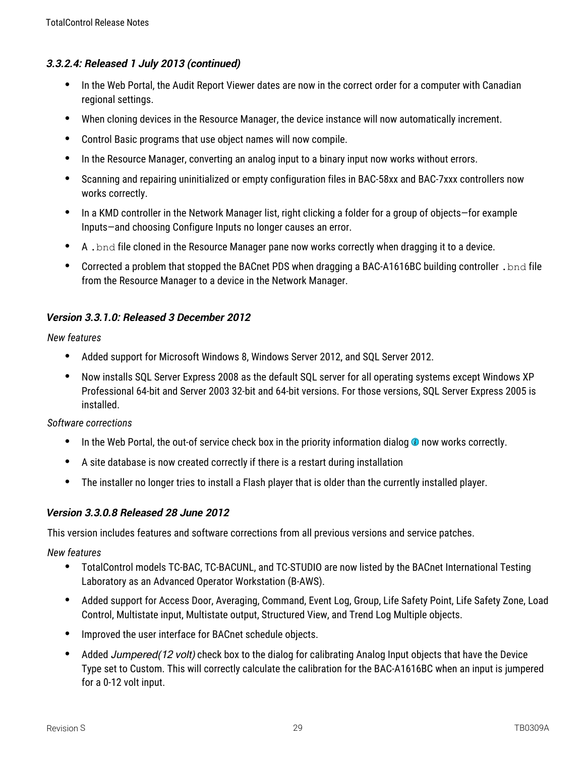- In the Web Portal, the Audit Report Viewer dates are now in the correct order for a computer with Canadian regional settings.
- When cloning devices in the Resource Manager, the device instance will now automatically increment.
- Control Basic programs that use object names will now compile.
- In the Resource Manager, converting an analog input to a binary input now works without errors.
- Scanning and repairing uninitialized or empty configuration files in BAC-58xx and BAC-7xxx controllers now works correctly.
- In a KMD controller in the Network Manager list, right clicking a folder for a group of objects—for example Inputs—and choosing Configure Inputs no longer causes an error.
- A .bnd file cloned in the Resource Manager pane now works correctly when dragging it to a device.
- Corrected a problem that stopped the BACnet PDS when dragging a BAC-A1616BC building controller .bnd file from the Resource Manager to a device in the Network Manager.

## **Version 3.3.1.0: Released 3 December 2012**

#### *New features*

- Added support for Microsoft Windows 8, Windows Server 2012, and SQL Server 2012.
- Now installs SQL Server Express 2008 as the default SQL server for all operating systems except Windows XP Professional 64-bit and Server 2003 32-bit and 64-bit versions. For those versions, SQL Server Express 2005 is installed.

#### *Software corrections*

- $\bullet$  In the Web Portal, the out-of service check box in the priority information dialog  $\bullet$  now works correctly.
- A site database is now created correctly if there is a restart during installation
- The installer no longer tries to install a Flash player that is older than the currently installed player.

#### **Version 3.3.0.8 Released 28 June 2012**

This version includes features and software corrections from all previous versions and service patches.

- TotalControl models TC-BAC, TC-BACUNL, and TC-STUDIO are now listed by the BACnet International Testing Laboratory as an Advanced Operator Workstation (B-AWS).
- Added support for Access Door, Averaging, Command, Event Log, Group, Life Safety Point, Life Safety Zone, Load Control, Multistate input, Multistate output, Structured View, and Trend Log Multiple objects.
- Improved the user interface for BACnet schedule objects.
- Added *Jumpered(12 volt)* check box to the dialog for calibrating Analog Input objects that have the Device Type set to Custom. This will correctly calculate the calibration for the BAC-A1616BC when an input is jumpered for a 0-12 volt input.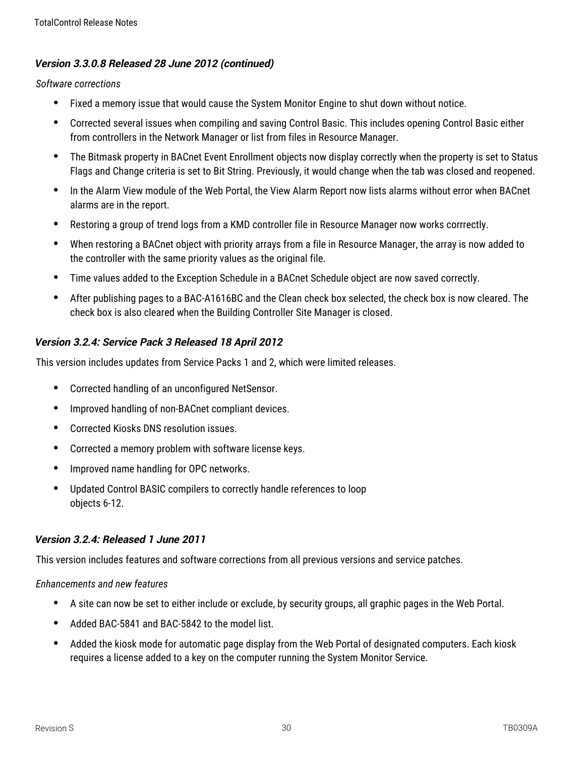## **Version 3.3.0.8 Released 28 June 2012 (continued)**

#### *Software corrections*

- Fixed a memory issue that would cause the System Monitor Engine to shut down without notice.
- Corrected several issues when compiling and saving Control Basic. This includes opening Control Basic either from controllers in the Network Manager or list from files in Resource Manager.
- The Bitmask property in BACnet Event Enrollment objects now display correctly when the property is set to Status Flags and Change criteria is set to Bit String. Previously, it would change when the tab was closed and reopened.
- In the Alarm View module of the Web Portal, the View Alarm Report now lists alarms without error when BACnet alarms are in the report.
- Restoring a group of trend logs from a KMD controller file in Resource Manager now works corrrectly.
- When restoring a BACnet object with priority arrays from a file in Resource Manager, the array is now added to the controller with the same priority values as the original file.
- Time values added to the Exception Schedule in a BACnet Schedule object are now saved correctly.
- After publishing pages to a BAC-A1616BC and the Clean check box selected, the check box is now cleared. The check box is also cleared when the Building Controller Site Manager is closed.

## **Version 3.2.4: Service Pack 3 Released 18 April 2012**

This version includes updates from Service Packs 1 and 2, which were limited releases.

- Corrected handling of an unconfigured NetSensor.
- Improved handling of non-BACnet compliant devices.
- Corrected Kiosks DNS resolution issues.
- Corrected a memory problem with software license keys.
- Improved name handling for OPC networks.
- Updated Control BASIC compilers to correctly handle references to loop objects 6-12.

## **Version 3.2.4: Released 1 June 2011**

This version includes features and software corrections from all previous versions and service patches.

#### *Enhancements and new features*

- A site can now be set to either include or exclude, by security groups, all graphic pages in the Web Portal.
- Added BAC-5841 and BAC-5842 to the model list.
- Added the kiosk mode for automatic page display from the Web Portal of designated computers. Each kiosk requires a license added to a key on the computer running the System Monitor Service.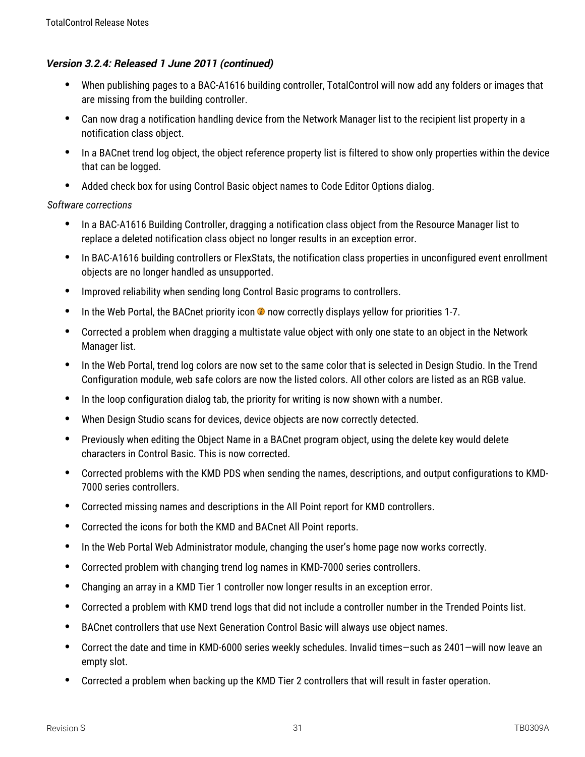# **Version 3.2.4: Released 1 June 2011 (continued)**

- When publishing pages to a BAC-A1616 building controller, TotalControl will now add any folders or images that are missing from the building controller.
- Can now drag a notification handling device from the Network Manager list to the recipient list property in a notification class object.
- In a BACnet trend log object, the object reference property list is filtered to show only properties within the device that can be logged.
- Added check box for using Control Basic object names to Code Editor Options dialog.

- In a BAC-A1616 Building Controller, dragging a notification class object from the Resource Manager list to replace a deleted notification class object no longer results in an exception error.
- In BAC-A1616 building controllers or FlexStats, the notification class properties in unconfigured event enrollment objects are no longer handled as unsupported.
- Improved reliability when sending long Control Basic programs to controllers.
- $\bullet$  In the Web Portal, the BACnet priority icon  $\bullet$  now correctly displays yellow for priorities 1-7.
- Corrected a problem when dragging a multistate value object with only one state to an object in the Network Manager list.
- In the Web Portal, trend log colors are now set to the same color that is selected in Design Studio. In the Trend Configuration module, web safe colors are now the listed colors. All other colors are listed as an RGB value.
- In the loop configuration dialog tab, the priority for writing is now shown with a number.
- When Design Studio scans for devices, device objects are now correctly detected.
- Previously when editing the Object Name in a BACnet program object, using the delete key would delete characters in Control Basic. This is now corrected.
- Corrected problems with the KMD PDS when sending the names, descriptions, and output configurations to KMD-7000 series controllers.
- Corrected missing names and descriptions in the All Point report for KMD controllers.
- Corrected the icons for both the KMD and BACnet All Point reports.
- In the Web Portal Web Administrator module, changing the user's home page now works correctly.
- Corrected problem with changing trend log names in KMD-7000 series controllers.
- Changing an array in a KMD Tier 1 controller now longer results in an exception error.
- Corrected a problem with KMD trend logs that did not include a controller number in the Trended Points list.
- BACnet controllers that use Next Generation Control Basic will always use object names.
- Correct the date and time in KMD-6000 series weekly schedules. Invalid times—such as 2401—will now leave an empty slot.
- Corrected a problem when backing up the KMD Tier 2 controllers that will result in faster operation.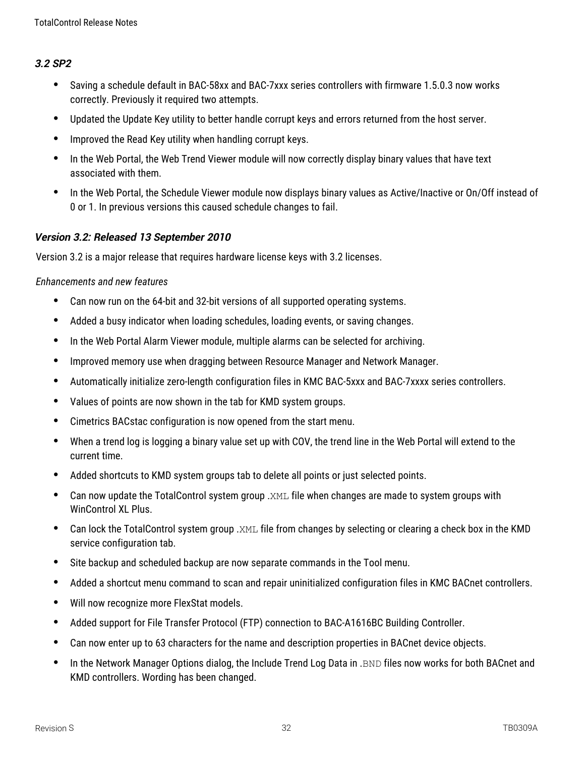#### **3.2 SP2**

- Saving a schedule default in BAC-58xx and BAC-7xxx series controllers with firmware 1.5.0.3 now works correctly. Previously it required two attempts.
- Updated the Update Key utility to better handle corrupt keys and errors returned from the host server.
- Improved the Read Key utility when handling corrupt keys.
- In the Web Portal, the Web Trend Viewer module will now correctly display binary values that have text associated with them.
- In the Web Portal, the Schedule Viewer module now displays binary values as Active/Inactive or On/Off instead of 0 or 1. In previous versions this caused schedule changes to fail.

#### **Version 3.2: Released 13 September 2010**

Version 3.2 is a major release that requires hardware license keys with 3.2 licenses.

#### *Enhancements and new features*

- Can now run on the 64-bit and 32-bit versions of all supported operating systems.
- Added a busy indicator when loading schedules, loading events, or saving changes.
- In the Web Portal Alarm Viewer module, multiple alarms can be selected for archiving.
- Improved memory use when dragging between Resource Manager and Network Manager.
- Automatically initialize zero-length configuration files in KMC BAC-5xxx and BAC-7xxxx series controllers.
- Values of points are now shown in the tab for KMD system groups.
- Cimetrics BACstac configuration is now opened from the start menu.
- When a trend log is logging a binary value set up with COV, the trend line in the Web Portal will extend to the current time.
- Added shortcuts to KMD system groups tab to delete all points or just selected points.
- Can now update the TotalControl system group .XML file when changes are made to system groups with WinControl XL Plus.
- Can lock the TotalControl system group .XML file from changes by selecting or clearing a check box in the KMD service configuration tab.
- Site backup and scheduled backup are now separate commands in the Tool menu.
- Added a shortcut menu command to scan and repair uninitialized configuration files in KMC BACnet controllers.
- Will now recognize more FlexStat models.
- Added support for File Transfer Protocol (FTP) connection to BAC-A1616BC Building Controller.
- Can now enter up to 63 characters for the name and description properties in BACnet device objects.
- In the Network Manager Options dialog, the Include Trend Log Data in . BND files now works for both BACnet and KMD controllers. Wording has been changed.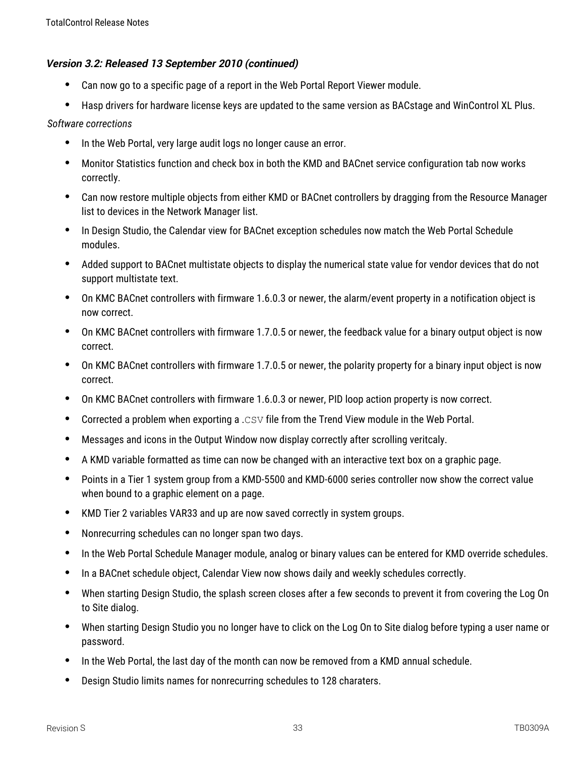#### **Version 3.2: Released 13 September 2010 (continued)**

- Can now go to a specific page of a report in the Web Portal Report Viewer module.
- Hasp drivers for hardware license keys are updated to the same version as BACstage and WinControl XL Plus.

- In the Web Portal, very large audit logs no longer cause an error.
- Monitor Statistics function and check box in both the KMD and BACnet service configuration tab now works correctly.
- Can now restore multiple objects from either KMD or BACnet controllers by dragging from the Resource Manager list to devices in the Network Manager list.
- In Design Studio, the Calendar view for BACnet exception schedules now match the Web Portal Schedule modules.
- Added support to BACnet multistate objects to display the numerical state value for vendor devices that do not support multistate text.
- On KMC BACnet controllers with firmware 1.6.0.3 or newer, the alarm/event property in a notification object is now correct.
- On KMC BACnet controllers with firmware 1.7.0.5 or newer, the feedback value for a binary output object is now correct.
- On KMC BACnet controllers with firmware 1.7.0.5 or newer, the polarity property for a binary input object is now correct.
- On KMC BACnet controllers with firmware 1.6.0.3 or newer, PID loop action property is now correct.
- Corrected a problem when exporting a .CSV file from the Trend View module in the Web Portal.
- Messages and icons in the Output Window now display correctly after scrolling veritcaly.
- A KMD variable formatted as time can now be changed with an interactive text box on a graphic page.
- Points in a Tier 1 system group from a KMD-5500 and KMD-6000 series controller now show the correct value when bound to a graphic element on a page.
- KMD Tier 2 variables VAR33 and up are now saved correctly in system groups.
- Nonrecurring schedules can no longer span two days.
- In the Web Portal Schedule Manager module, analog or binary values can be entered for KMD override schedules.
- In a BACnet schedule object, Calendar View now shows daily and weekly schedules correctly.
- When starting Design Studio, the splash screen closes after a few seconds to prevent it from covering the Log On to Site dialog.
- When starting Design Studio you no longer have to click on the Log On to Site dialog before typing a user name or password.
- In the Web Portal, the last day of the month can now be removed from a KMD annual schedule.
- Design Studio limits names for nonrecurring schedules to 128 charaters.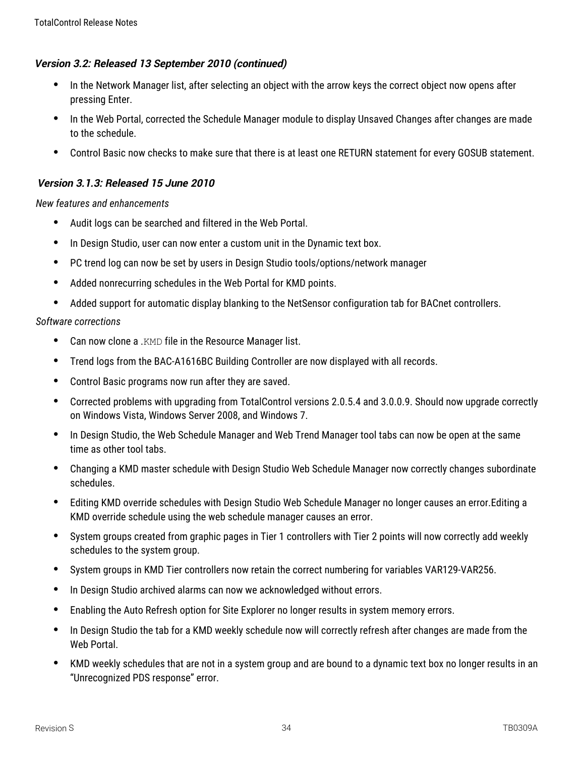## **Version 3.2: Released 13 September 2010 (continued)**

- In the Network Manager list, after selecting an object with the arrow keys the correct object now opens after pressing Enter.
- In the Web Portal, corrected the Schedule Manager module to display Unsaved Changes after changes are made to the schedule.
- Control Basic now checks to make sure that there is at least one RETURN statement for every GOSUB statement.

# **Version 3.1.3: Released 15 June 2010**

*New features and enhancements*

- Audit logs can be searched and filtered in the Web Portal.
- In Design Studio, user can now enter a custom unit in the Dynamic text box.
- PC trend log can now be set by users in Design Studio tools/options/network manager
- Added nonrecurring schedules in the Web Portal for KMD points.
- Added support for automatic display blanking to the NetSensor configuration tab for BACnet controllers.

- Can now clone a .KMD file in the Resource Manager list.
- Trend logs from the BAC-A1616BC Building Controller are now displayed with all records.
- Control Basic programs now run after they are saved.
- Corrected problems with upgrading from TotalControl versions 2.0.5.4 and 3.0.0.9. Should now upgrade correctly on Windows Vista, Windows Server 2008, and Windows 7.
- In Design Studio, the Web Schedule Manager and Web Trend Manager tool tabs can now be open at the same time as other tool tabs.
- Changing a KMD master schedule with Design Studio Web Schedule Manager now correctly changes subordinate schedules.
- Editing KMD override schedules with Design Studio Web Schedule Manager no longer causes an error.Editing a KMD override schedule using the web schedule manager causes an error.
- System groups created from graphic pages in Tier 1 controllers with Tier 2 points will now correctly add weekly schedules to the system group.
- System groups in KMD Tier controllers now retain the correct numbering for variables VAR129-VAR256.
- In Design Studio archived alarms can now we acknowledged without errors.
- Enabling the Auto Refresh option for Site Explorer no longer results in system memory errors.
- In Design Studio the tab for a KMD weekly schedule now will correctly refresh after changes are made from the Web Portal.
- KMD weekly schedules that are not in a system group and are bound to a dynamic text box no longer results in an "Unrecognized PDS response" error.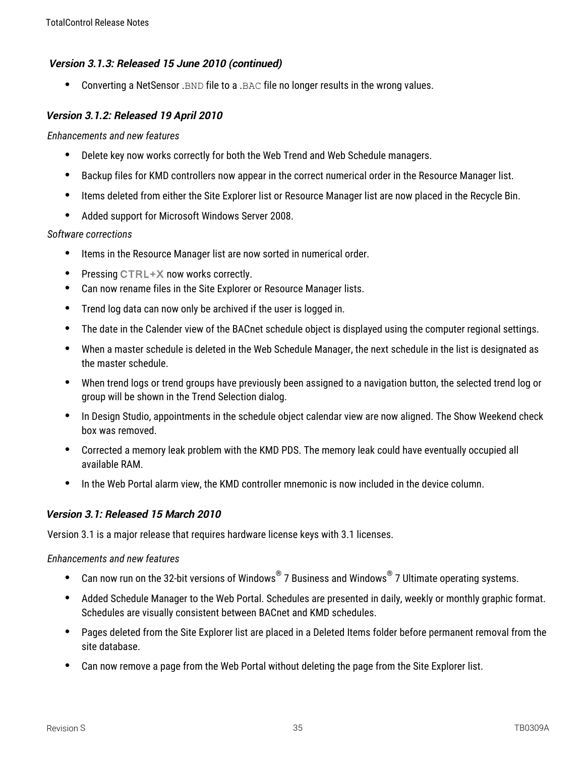## **Version 3.1.3: Released 15 June 2010 (continued)**

Converting a NetSensor .BND file to a .BAC file no longer results in the wrong values.

## **Version 3.1.2: Released 19 April 2010**

#### *Enhancements and new features*

- Delete key now works correctly for both the Web Trend and Web Schedule managers.
- Backup files for KMD controllers now appear in the correct numerical order in the Resource Manager list.
- Items deleted from either the Site Explorer list or Resource Manager list are now placed in the Recycle Bin.
- Added support for Microsoft Windows Server 2008.

### *Software corrections*

- Items in the Resource Manager list are now sorted in numerical order.
- Pressing CTRL+X now works correctly.
- Can now rename files in the Site Explorer or Resource Manager lists.
- Trend log data can now only be archived if the user is logged in.
- The date in the Calender view of the BACnet schedule object is displayed using the computer regional settings.
- When a master schedule is deleted in the Web Schedule Manager, the next schedule in the list is designated as the master schedule.
- When trend logs or trend groups have previously been assigned to a navigation button, the selected trend log or group will be shown in the Trend Selection dialog.
- In Design Studio, appointments in the schedule object calendar view are now aligned. The Show Weekend check box was removed.
- Corrected a memory leak problem with the KMD PDS. The memory leak could have eventually occupied all available RAM.
- In the Web Portal alarm view, the KMD controller mnemonic is now included in the device column.

# **Version 3.1: Released 15 March 2010**

Version 3.1 is a major release that requires hardware license keys with 3.1 licenses.

## *Enhancements and new features*

- Can now run on the 32-bit versions of Windows $^{\circledast}$  7 Business and Windows $^{\circledast}$  7 Ultimate operating systems.
- Added Schedule Manager to the Web Portal. Schedules are presented in daily, weekly or monthly graphic format. Schedules are visually consistent between BACnet and KMD schedules.
- Pages deleted from the Site Explorer list are placed in a Deleted Items folder before permanent removal from the site database.
- Can now remove a page from the Web Portal without deleting the page from the Site Explorer list.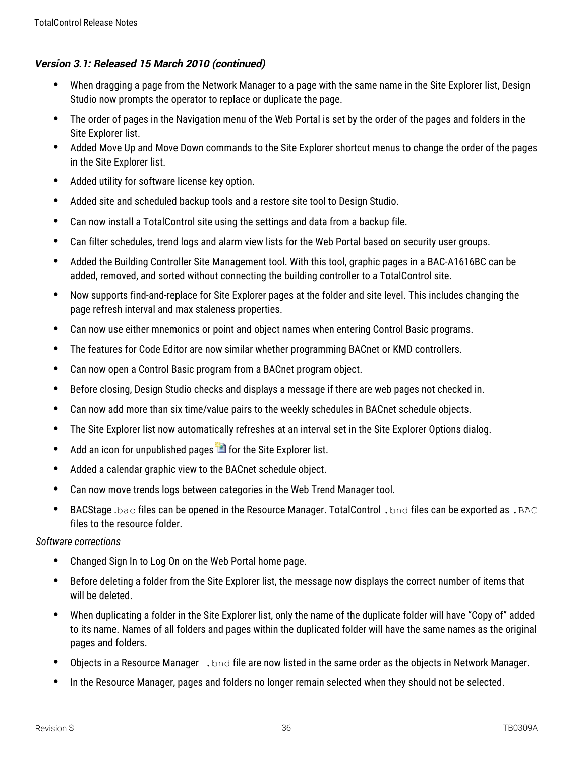- When dragging a page from the Network Manager to a page with the same name in the Site Explorer list, Design Studio now prompts the operator to replace or duplicate the page.
- The order of pages in the Navigation menu of the Web Portal is set by the order of the pages and folders in the Site Explorer list.
- Added Move Up and Move Down commands to the Site Explorer shortcut menus to change the order of the pages in the Site Explorer list.
- Added utility for software license key option.
- Added site and scheduled backup tools and a restore site tool to Design Studio.
- Can now install a TotalControl site using the settings and data from a backup file.
- Can filter schedules, trend logs and alarm view lists for the Web Portal based on security user groups.
- Added the Building Controller Site Management tool. With this tool, graphic pages in a BAC-A1616BC can be added, removed, and sorted without connecting the building controller to a TotalControl site.
- Now supports find-and-replace for Site Explorer pages at the folder and site level. This includes changing the page refresh interval and max staleness properties.
- Can now use either mnemonics or point and object names when entering Control Basic programs.
- The features for Code Editor are now similar whether programming BACnet or KMD controllers.
- Can now open a Control Basic program from a BACnet program object.
- Before closing, Design Studio checks and displays a message if there are web pages not checked in.
- Can now add more than six time/value pairs to the weekly schedules in BACnet schedule objects.
- The Site Explorer list now automatically refreshes at an interval set in the Site Explorer Options dialog.
- $\bullet$  Add an icon for unpublished pages  $\blacksquare$  for the Site Explorer list.
- Added a calendar graphic view to the BACnet schedule object.
- Can now move trends logs between categories in the Web Trend Manager tool.
- BACStage .bac files can be opened in the Resource Manager. TotalControl . bnd files can be exported as . BAC files to the resource folder.

- Changed Sign In to Log On on the Web Portal home page.
- Before deleting a folder from the Site Explorer list, the message now displays the correct number of items that will be deleted.
- When duplicating a folder in the Site Explorer list, only the name of the duplicate folder will have "Copy of" added to its name. Names of all folders and pages within the duplicated folder will have the same names as the original pages and folders.
- Objects in a Resource Manager . bnd file are now listed in the same order as the objects in Network Manager.
- In the Resource Manager, pages and folders no longer remain selected when they should not be selected.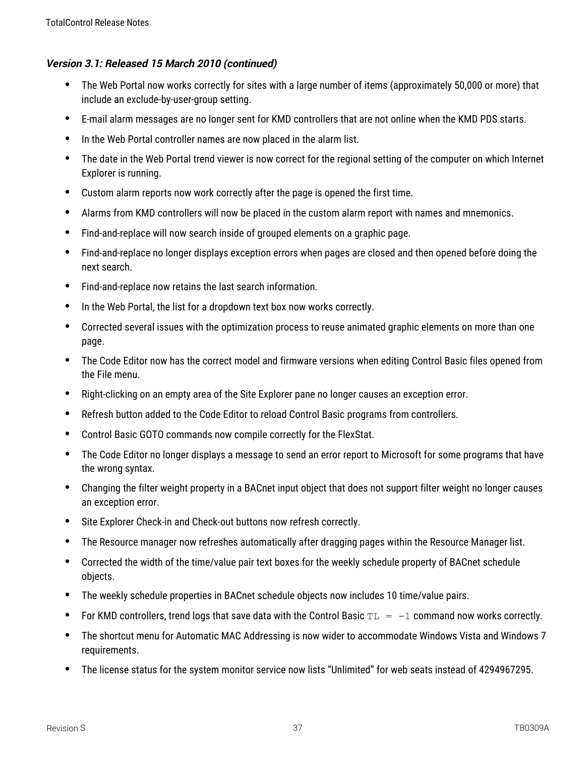- The Web Portal now works correctly for sites with a large number of items (approximately 50,000 or more) that include an exclude-by-user-group setting.
- E-mail alarm messages are no longer sent for KMD controllers that are not online when the KMD PDS starts.
- In the Web Portal controller names are now placed in the alarm list.
- The date in the Web Portal trend viewer is now correct for the regional setting of the computer on which Internet Explorer is running.
- Custom alarm reports now work correctly after the page is opened the first time.
- Alarms from KMD controllers will now be placed in the custom alarm report with names and mnemonics.
- Find-and-replace will now search inside of grouped elements on a graphic page.
- Find-and-replace no longer displays exception errors when pages are closed and then opened before doing the next search.
- Find-and-replace now retains the last search information.
- In the Web Portal, the list for a dropdown text box now works correctly.
- Corrected several issues with the optimization process to reuse animated graphic elements on more than one page.
- The Code Editor now has the correct model and firmware versions when editing Control Basic files opened from the File menu.
- Right-clicking on an empty area of the Site Explorer pane no longer causes an exception error.
- Refresh button added to the Code Editor to reload Control Basic programs from controllers.
- Control Basic GOTO commands now compile correctly for the FlexStat.
- The Code Editor no longer displays a message to send an error report to Microsoft for some programs that have the wrong syntax.
- Changing the filter weight property in a BACnet input object that does not support filter weight no longer causes an exception error.
- Site Explorer Check-in and Check-out buttons now refresh correctly.
- The Resource manager now refreshes automatically after dragging pages within the Resource Manager list.
- Corrected the width of the time/value pair text boxes for the weekly schedule property of BACnet schedule objects.
- The weekly schedule properties in BACnet schedule objects now includes 10 time/value pairs.
- For KMD controllers, trend logs that save data with the Control Basic  $TL = -1$  command now works correctly.
- The shortcut menu for Automatic MAC Addressing is now wider to accommodate Windows Vista and Windows 7 requirements.
- The license status for the system monitor service now lists "Unlimited" for web seats instead of 4294967295.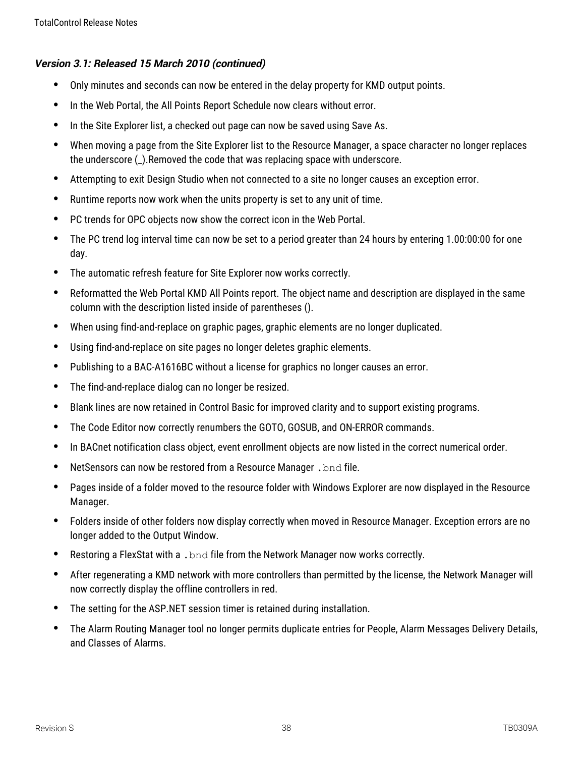- Only minutes and seconds can now be entered in the delay property for KMD output points.
- In the Web Portal, the All Points Report Schedule now clears without error.
- In the Site Explorer list, a checked out page can now be saved using Save As.
- When moving a page from the Site Explorer list to the Resource Manager, a space character no longer replaces the underscore (\_).Removed the code that was replacing space with underscore.
- Attempting to exit Design Studio when not connected to a site no longer causes an exception error.
- Runtime reports now work when the units property is set to any unit of time.
- PC trends for OPC objects now show the correct icon in the Web Portal.
- The PC trend log interval time can now be set to a period greater than 24 hours by entering 1.00:00:00 for one day.
- The automatic refresh feature for Site Explorer now works correctly.
- Reformatted the Web Portal KMD All Points report. The object name and description are displayed in the same column with the description listed inside of parentheses ().
- When using find-and-replace on graphic pages, graphic elements are no longer duplicated.
- Using find-and-replace on site pages no longer deletes graphic elements.
- Publishing to a BAC-A1616BC without a license for graphics no longer causes an error.
- The find-and-replace dialog can no longer be resized.
- Blank lines are now retained in Control Basic for improved clarity and to support existing programs.
- The Code Editor now correctly renumbers the GOTO, GOSUB, and ON-ERROR commands.
- In BACnet notification class object, event enrollment objects are now listed in the correct numerical order.
- NetSensors can now be restored from a Resource Manager . bnd file.
- Pages inside of a folder moved to the resource folder with Windows Explorer are now displayed in the Resource Manager.
- Folders inside of other folders now display correctly when moved in Resource Manager. Exception errors are no longer added to the Output Window.
- Restoring a FlexStat with a . bnd file from the Network Manager now works correctly.
- After regenerating a KMD network with more controllers than permitted by the license, the Network Manager will now correctly display the offline controllers in red.
- The setting for the ASP.NET session timer is retained during installation.
- The Alarm Routing Manager tool no longer permits duplicate entries for People, Alarm Messages Delivery Details, and Classes of Alarms.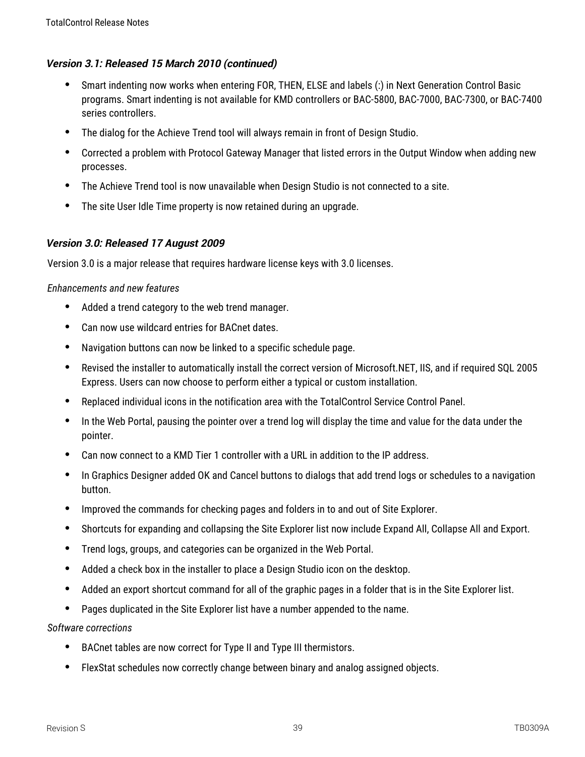- Smart indenting now works when entering FOR, THEN, ELSE and labels (:) in Next Generation Control Basic programs. Smart indenting is not available for KMD controllers or BAC-5800, BAC-7000, BAC-7300, or BAC-7400 series controllers.
- The dialog for the Achieve Trend tool will always remain in front of Design Studio.
- Corrected a problem with Protocol Gateway Manager that listed errors in the Output Window when adding new processes.
- The Achieve Trend tool is now unavailable when Design Studio is not connected to a site.
- The site User Idle Time property is now retained during an upgrade.

## **Version 3.0: Released 17 August 2009**

Version 3.0 is a major release that requires hardware license keys with 3.0 licenses.

### *Enhancements and new features*

- Added a trend category to the web trend manager.
- Can now use wildcard entries for BACnet dates.
- Navigation buttons can now be linked to a specific schedule page.
- Revised the installer to automatically install the correct version of Microsoft.NET, IIS, and if required SQL 2005 Express. Users can now choose to perform either a typical or custom installation.
- Replaced individual icons in the notification area with the TotalControl Service Control Panel.
- In the Web Portal, pausing the pointer over a trend log will display the time and value for the data under the pointer.
- Can now connect to a KMD Tier 1 controller with a URL in addition to the IP address.
- In Graphics Designer added OK and Cancel buttons to dialogs that add trend logs or schedules to a navigation button.
- Improved the commands for checking pages and folders in to and out of Site Explorer.
- Shortcuts for expanding and collapsing the Site Explorer list now include Expand All, Collapse All and Export.
- Trend logs, groups, and categories can be organized in the Web Portal.
- Added a check box in the installer to place a Design Studio icon on the desktop.
- Added an export shortcut command for all of the graphic pages in a folder that is in the Site Explorer list.
- Pages duplicated in the Site Explorer list have a number appended to the name.

- BACnet tables are now correct for Type II and Type III thermistors.
- FlexStat schedules now correctly change between binary and analog assigned objects.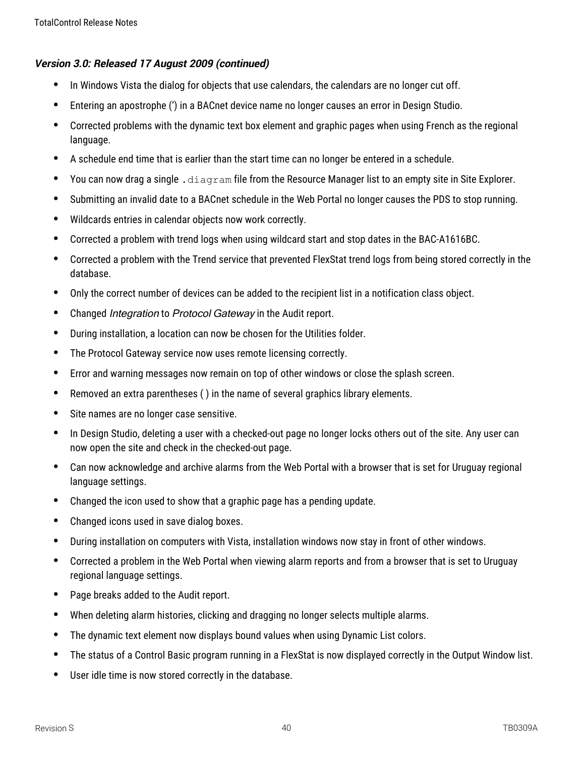#### **Version 3.0: Released 17 August 2009 (continued)**

- In Windows Vista the dialog for objects that use calendars, the calendars are no longer cut off.
- Entering an apostrophe (') in a BACnet device name no longer causes an error in Design Studio.
- Corrected problems with the dynamic text box element and graphic pages when using French as the regional language.
- A schedule end time that is earlier than the start time can no longer be entered in a schedule.
- You can now drag a single .  $diagram$  file from the Resource Manager list to an empty site in Site Explorer.
- Submitting an invalid date to a BACnet schedule in the Web Portal no longer causes the PDS to stop running.
- Wildcards entries in calendar objects now work correctly.
- Corrected a problem with trend logs when using wildcard start and stop dates in the BAC-A1616BC.
- Corrected a problem with the Trend service that prevented FlexStat trend logs from being stored correctly in the database.
- Only the correct number of devices can be added to the recipient list in a notification class object.
- Changed *Integration* to Protocol Gateway in the Audit report.
- During installation, a location can now be chosen for the Utilities folder.
- The Protocol Gateway service now uses remote licensing correctly.
- Error and warning messages now remain on top of other windows or close the splash screen.
- Removed an extra parentheses ( ) in the name of several graphics library elements.
- Site names are no longer case sensitive.
- In Design Studio, deleting a user with a checked-out page no longer locks others out of the site. Any user can now open the site and check in the checked-out page.
- Can now acknowledge and archive alarms from the Web Portal with a browser that is set for Uruguay regional language settings.
- Changed the icon used to show that a graphic page has a pending update.
- Changed icons used in save dialog boxes.
- During installation on computers with Vista, installation windows now stay in front of other windows.
- Corrected a problem in the Web Portal when viewing alarm reports and from a browser that is set to Uruguay regional language settings.
- Page breaks added to the Audit report.
- When deleting alarm histories, clicking and dragging no longer selects multiple alarms.
- The dynamic text element now displays bound values when using Dynamic List colors.
- The status of a Control Basic program running in a FlexStat is now displayed correctly in the Output Window list.
- User idle time is now stored correctly in the database.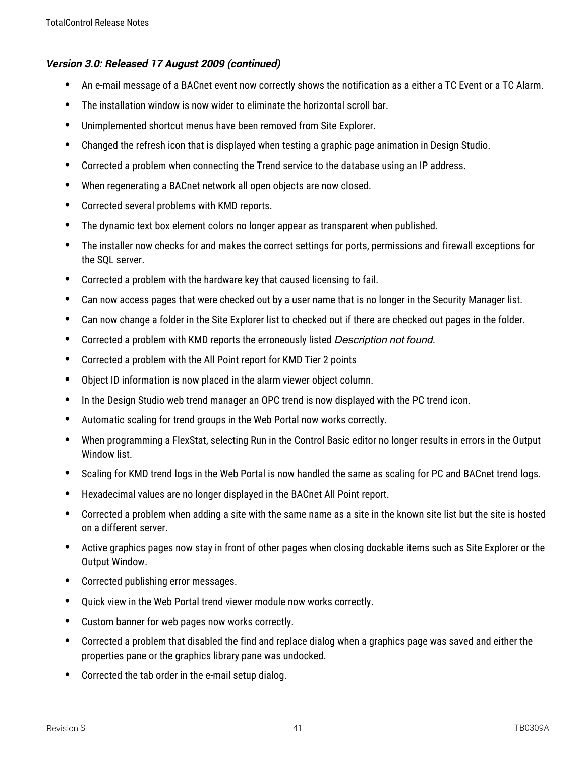#### **Version 3.0: Released 17 August 2009 (continued)**

- An e-mail message of a BACnet event now correctly shows the notification as a either a TC Event or a TC Alarm.
- The installation window is now wider to eliminate the horizontal scroll bar.
- Unimplemented shortcut menus have been removed from Site Explorer.
- Changed the refresh icon that is displayed when testing a graphic page animation in Design Studio.
- Corrected a problem when connecting the Trend service to the database using an IP address.
- When regenerating a BACnet network all open objects are now closed.
- Corrected several problems with KMD reports.
- The dynamic text box element colors no longer appear as transparent when published.
- The installer now checks for and makes the correct settings for ports, permissions and firewall exceptions for the SQL server.
- Corrected a problem with the hardware key that caused licensing to fail.
- Can now access pages that were checked out by a user name that is no longer in the Security Manager list.
- Can now change a folder in the Site Explorer list to checked out if there are checked out pages in the folder.
- Corrected a problem with KMD reports the erroneously listed Description not found.
- Corrected a problem with the All Point report for KMD Tier 2 points
- Object ID information is now placed in the alarm viewer object column.
- In the Design Studio web trend manager an OPC trend is now displayed with the PC trend icon.
- Automatic scaling for trend groups in the Web Portal now works correctly.
- When programming a FlexStat, selecting Run in the Control Basic editor no longer results in errors in the Output Window list.
- Scaling for KMD trend logs in the Web Portal is now handled the same as scaling for PC and BACnet trend logs.
- Hexadecimal values are no longer displayed in the BACnet All Point report.
- Corrected a problem when adding a site with the same name as a site in the known site list but the site is hosted on a different server.
- Active graphics pages now stay in front of other pages when closing dockable items such as Site Explorer or the Output Window.
- Corrected publishing error messages.
- Quick view in the Web Portal trend viewer module now works correctly.
- Custom banner for web pages now works correctly.
- Corrected a problem that disabled the find and replace dialog when a graphics page was saved and either the properties pane or the graphics library pane was undocked.
- Corrected the tab order in the e-mail setup dialog.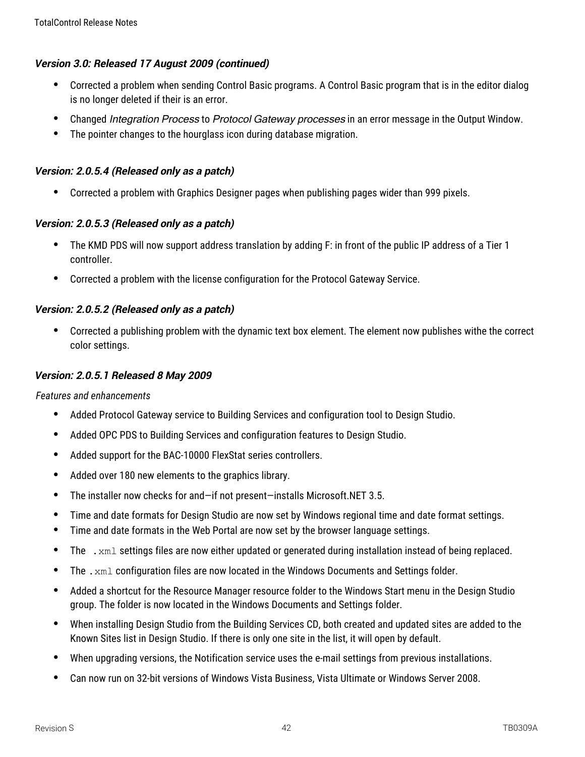## **Version 3.0: Released 17 August 2009 (continued)**

- Corrected a problem when sending Control Basic programs. A Control Basic program that is in the editor dialog is no longer deleted if their is an error.
- Changed *Integration Process* to *Protocol Gateway processes* in an error message in the Output Window.
- The pointer changes to the hourglass icon during database migration.

## **Version: 2.0.5.4 (Released only as <sup>a</sup> patch)**

Corrected a problem with Graphics Designer pages when publishing pages wider than 999 pixels.

## **Version: 2.0.5.3 (Released only as <sup>a</sup> patch)**

- The KMD PDS will now support address translation by adding F: in front of the public IP address of a Tier 1 controller.
- Corrected a problem with the license configuration for the Protocol Gateway Service.

## **Version: 2.0.5.2 (Released only as <sup>a</sup> patch)**

 Corrected a publishing problem with the dynamic text box element. The element now publishes withe the correct color settings.

### **Version: 2.0.5.1 Released 8 May 2009**

*Features and enhancements*

- Added Protocol Gateway service to Building Services and configuration tool to Design Studio.
- Added OPC PDS to Building Services and configuration features to Design Studio.
- Added support for the BAC-10000 FlexStat series controllers.
- Added over 180 new elements to the graphics library.
- The installer now checks for and—if not present—installs Microsoft.NET 3.5.
- Time and date formats for Design Studio are now set by Windows regional time and date format settings.
- Time and date formats in the Web Portal are now set by the browser language settings.
- The  $\ldots$  xml settings files are now either updated or generated during installation instead of being replaced.
- The .  $xml$  configuration files are now located in the Windows Documents and Settings folder.
- Added a shortcut for the Resource Manager resource folder to the Windows Start menu in the Design Studio group. The folder is now located in the Windows Documents and Settings folder.
- When installing Design Studio from the Building Services CD, both created and updated sites are added to the Known Sites list in Design Studio. If there is only one site in the list, it will open by default.
- When upgrading versions, the Notification service uses the e-mail settings from previous installations.
- Can now run on 32-bit versions of Windows Vista Business, Vista Ultimate or Windows Server 2008.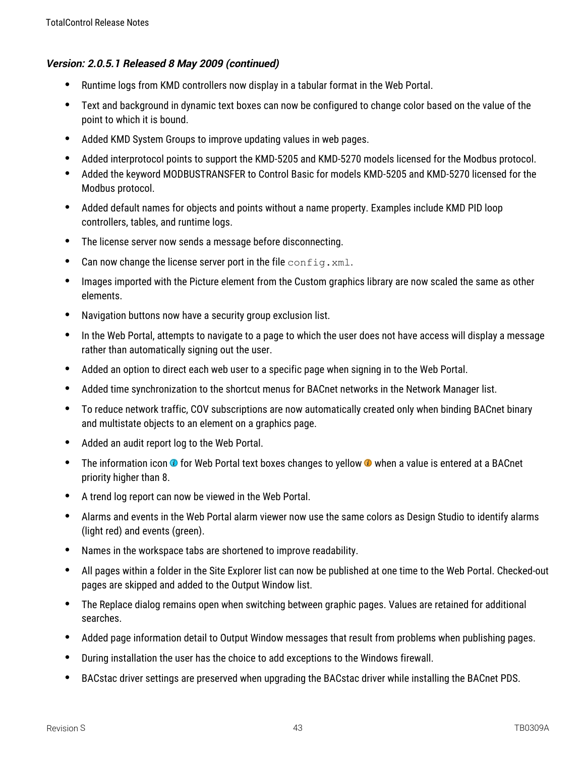- Runtime logs from KMD controllers now display in a tabular format in the Web Portal.
- Text and background in dynamic text boxes can now be configured to change color based on the value of the point to which it is bound.
- Added KMD System Groups to improve updating values in web pages.
- Added interprotocol points to support the KMD-5205 and KMD-5270 models licensed for the Modbus protocol.
- Added the keyword MODBUSTRANSFER to Control Basic for models KMD-5205 and KMD-5270 licensed for the Modbus protocol.
- Added default names for objects and points without a name property. Examples include KMD PID loop controllers, tables, and runtime logs.
- The license server now sends a message before disconnecting.
- Can now change the license server port in the file  $confiq.xml$ .
- Images imported with the Picture element from the Custom graphics library are now scaled the same as other elements.
- Navigation buttons now have a security group exclusion list.
- In the Web Portal, attempts to navigate to a page to which the user does not have access will display a message rather than automatically signing out the user.
- Added an option to direct each web user to a specific page when signing in to the Web Portal.
- Added time synchronization to the shortcut menus for BACnet networks in the Network Manager list.
- To reduce network traffic, COV subscriptions are now automatically created only when binding BACnet binary and multistate objects to an element on a graphics page.
- Added an audit report log to the Web Portal.
- The information icon  $\odot$  for Web Portal text boxes changes to yellow  $\odot$  when a value is entered at a BACnet priority higher than 8.
- A trend log report can now be viewed in the Web Portal.
- Alarms and events in the Web Portal alarm viewer now use the same colors as Design Studio to identify alarms (light red) and events (green).
- Names in the workspace tabs are shortened to improve readability.
- All pages within a folder in the Site Explorer list can now be published at one time to the Web Portal. Checked-out pages are skipped and added to the Output Window list.
- The Replace dialog remains open when switching between graphic pages. Values are retained for additional searches.
- Added page information detail to Output Window messages that result from problems when publishing pages.
- During installation the user has the choice to add exceptions to the Windows firewall.
- BACstac driver settings are preserved when upgrading the BACstac driver while installing the BACnet PDS.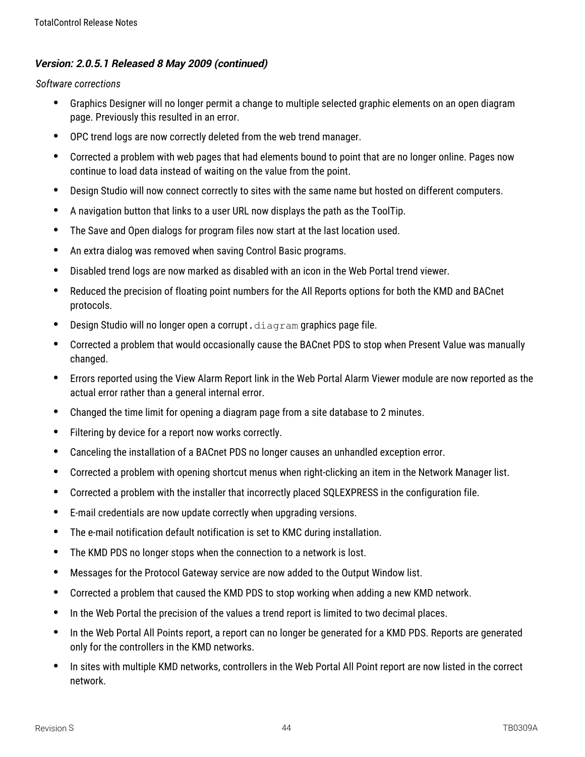- Graphics Designer will no longer permit a change to multiple selected graphic elements on an open diagram page. Previously this resulted in an error.
- OPC trend logs are now correctly deleted from the web trend manager.
- Corrected a problem with web pages that had elements bound to point that are no longer online. Pages now continue to load data instead of waiting on the value from the point.
- Design Studio will now connect correctly to sites with the same name but hosted on different computers.
- A navigation button that links to a user URL now displays the path as the ToolTip.
- The Save and Open dialogs for program files now start at the last location used.
- An extra dialog was removed when saving Control Basic programs.
- Disabled trend logs are now marked as disabled with an icon in the Web Portal trend viewer.
- Reduced the precision of floating point numbers for the All Reports options for both the KMD and BACnet protocols.
- $\bullet$  Design Studio will no longer open a corrupt.  $diagram$  graphics page file.
- Corrected a problem that would occasionally cause the BACnet PDS to stop when Present Value was manually changed.
- Errors reported using the View Alarm Report link in the Web Portal Alarm Viewer module are now reported as the actual error rather than a general internal error.
- Changed the time limit for opening a diagram page from a site database to 2 minutes.
- Filtering by device for a report now works correctly.
- Canceling the installation of a BACnet PDS no longer causes an unhandled exception error.
- Corrected a problem with opening shortcut menus when right-clicking an item in the Network Manager list.
- Corrected a problem with the installer that incorrectly placed SQLEXPRESS in the configuration file.
- E-mail credentials are now update correctly when upgrading versions.
- The e-mail notification default notification is set to KMC during installation.
- The KMD PDS no longer stops when the connection to a network is lost.
- Messages for the Protocol Gateway service are now added to the Output Window list.
- Corrected a problem that caused the KMD PDS to stop working when adding a new KMD network.
- In the Web Portal the precision of the values a trend report is limited to two decimal places.
- In the Web Portal All Points report, a report can no longer be generated for a KMD PDS. Reports are generated only for the controllers in the KMD networks.
- In sites with multiple KMD networks, controllers in the Web Portal All Point report are now listed in the correct network.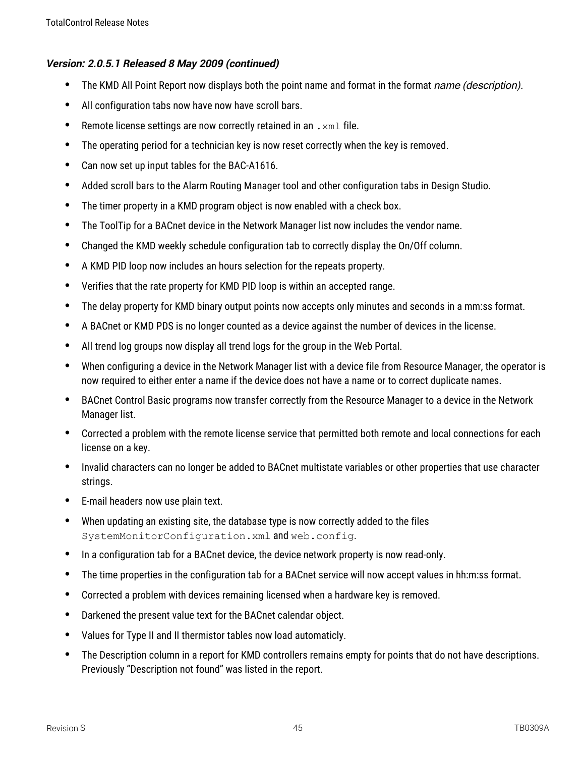- The KMD All Point Report now displays both the point name and format in the format *name (description).*
- All configuration tabs now have now have scroll bars.
- **•** Remote license settings are now correctly retained in an  $\cdot$  xml file.
- The operating period for a technician key is now reset correctly when the key is removed.
- Can now set up input tables for the BAC-A1616.
- Added scroll bars to the Alarm Routing Manager tool and other configuration tabs in Design Studio.
- The timer property in a KMD program object is now enabled with a check box.
- The ToolTip for a BACnet device in the Network Manager list now includes the vendor name.
- Changed the KMD weekly schedule configuration tab to correctly display the On/Off column.
- A KMD PID loop now includes an hours selection for the repeats property.
- Verifies that the rate property for KMD PID loop is within an accepted range.
- The delay property for KMD binary output points now accepts only minutes and seconds in a mm:ss format.
- A BACnet or KMD PDS is no longer counted as a device against the number of devices in the license.
- All trend log groups now display all trend logs for the group in the Web Portal.
- When configuring a device in the Network Manager list with a device file from Resource Manager, the operator is now required to either enter a name if the device does not have a name or to correct duplicate names.
- BACnet Control Basic programs now transfer correctly from the Resource Manager to a device in the Network Manager list.
- Corrected a problem with the remote license service that permitted both remote and local connections for each license on a key.
- Invalid characters can no longer be added to BACnet multistate variables or other properties that use character strings.
- E-mail headers now use plain text.
- When updating an existing site, the database type is now correctly added to the files SystemMonitorConfiguration.xml and web.config.
- In a configuration tab for a BACnet device, the device network property is now read-only.
- The time properties in the configuration tab for a BACnet service will now accept values in hh:m:ss format.
- Corrected a problem with devices remaining licensed when a hardware key is removed.
- Darkened the present value text for the BACnet calendar object.
- Values for Type II and II thermistor tables now load automaticly.
- The Description column in a report for KMD controllers remains empty for points that do not have descriptions. Previously "Description not found" was listed in the report.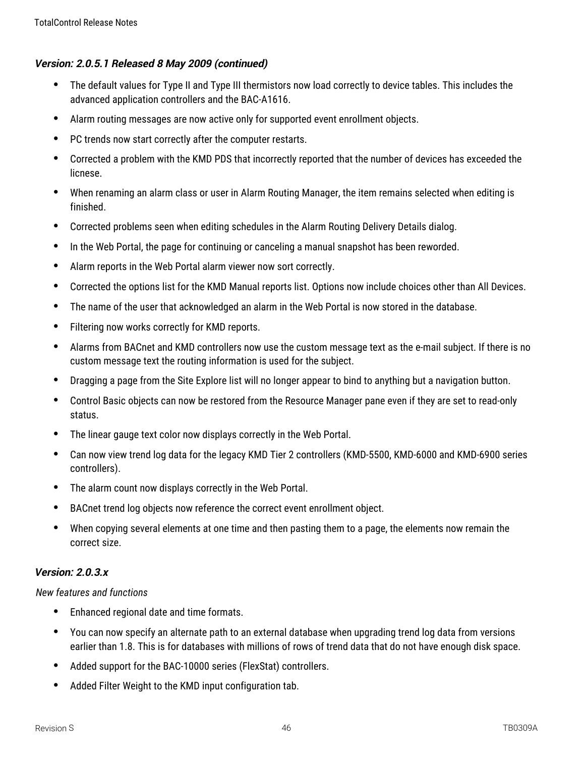- The default values for Type II and Type III thermistors now load correctly to device tables. This includes the advanced application controllers and the BAC-A1616.
- Alarm routing messages are now active only for supported event enrollment objects.
- PC trends now start correctly after the computer restarts.
- Corrected a problem with the KMD PDS that incorrectly reported that the number of devices has exceeded the licnese.
- When renaming an alarm class or user in Alarm Routing Manager, the item remains selected when editing is finished.
- Corrected problems seen when editing schedules in the Alarm Routing Delivery Details dialog.
- In the Web Portal, the page for continuing or canceling a manual snapshot has been reworded.
- Alarm reports in the Web Portal alarm viewer now sort correctly.
- Corrected the options list for the KMD Manual reports list. Options now include choices other than All Devices.
- The name of the user that acknowledged an alarm in the Web Portal is now stored in the database.
- Filtering now works correctly for KMD reports.
- Alarms from BACnet and KMD controllers now use the custom message text as the e-mail subject. If there is no custom message text the routing information is used for the subject.
- Dragging a page from the Site Explore list will no longer appear to bind to anything but a navigation button.
- Control Basic objects can now be restored from the Resource Manager pane even if they are set to read-only status.
- The linear gauge text color now displays correctly in the Web Portal.
- Can now view trend log data for the legacy KMD Tier 2 controllers (KMD-5500, KMD-6000 and KMD-6900 series controllers).
- The alarm count now displays correctly in the Web Portal.
- BACnet trend log objects now reference the correct event enrollment object.
- When copying several elements at one time and then pasting them to a page, the elements now remain the correct size.

## **Version: 2.0.3.x**

*New features and functions*

- Enhanced regional date and time formats.
- You can now specify an alternate path to an external database when upgrading trend log data from versions earlier than 1.8. This is for databases with millions of rows of trend data that do not have enough disk space.
- Added support for the BAC-10000 series (FlexStat) controllers.
- Added Filter Weight to the KMD input configuration tab.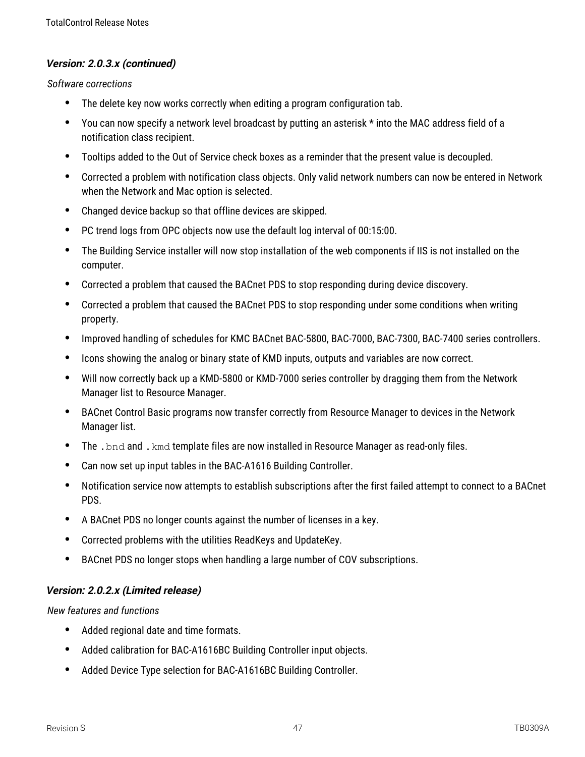#### **Version: 2.0.3.x (continued)**

#### *Software corrections*

- The delete key now works correctly when editing a program configuration tab.
- You can now specify a network level broadcast by putting an asterisk \* into the MAC address field of a notification class recipient.
- Tooltips added to the Out of Service check boxes as a reminder that the present value is decoupled.
- Corrected a problem with notification class objects. Only valid network numbers can now be entered in Network when the Network and Mac option is selected.
- Changed device backup so that offline devices are skipped.
- PC trend logs from OPC objects now use the default log interval of 00:15:00.
- The Building Service installer will now stop installation of the web components if IIS is not installed on the computer.
- Corrected a problem that caused the BACnet PDS to stop responding during device discovery.
- Corrected a problem that caused the BACnet PDS to stop responding under some conditions when writing property.
- Improved handling of schedules for KMC BACnet BAC-5800, BAC-7000, BAC-7300, BAC-7400 series controllers.
- Icons showing the analog or binary state of KMD inputs, outputs and variables are now correct.
- Will now correctly back up a KMD-5800 or KMD-7000 series controller by dragging them from the Network Manager list to Resource Manager.
- BACnet Control Basic programs now transfer correctly from Resource Manager to devices in the Network Manager list.
- The . bnd and . kmd template files are now installed in Resource Manager as read-only files.
- Can now set up input tables in the BAC-A1616 Building Controller.
- Notification service now attempts to establish subscriptions after the first failed attempt to connect to a BACnet PDS.
- A BACnet PDS no longer counts against the number of licenses in a key.
- Corrected problems with the utilities ReadKeys and UpdateKey.
- BACnet PDS no longer stops when handling a large number of COV subscriptions.

#### **Version: 2.0.2.x (Limited release)**

#### *New features and functions*

- Added regional date and time formats.
- Added calibration for BAC-A1616BC Building Controller input objects.
- Added Device Type selection for BAC-A1616BC Building Controller.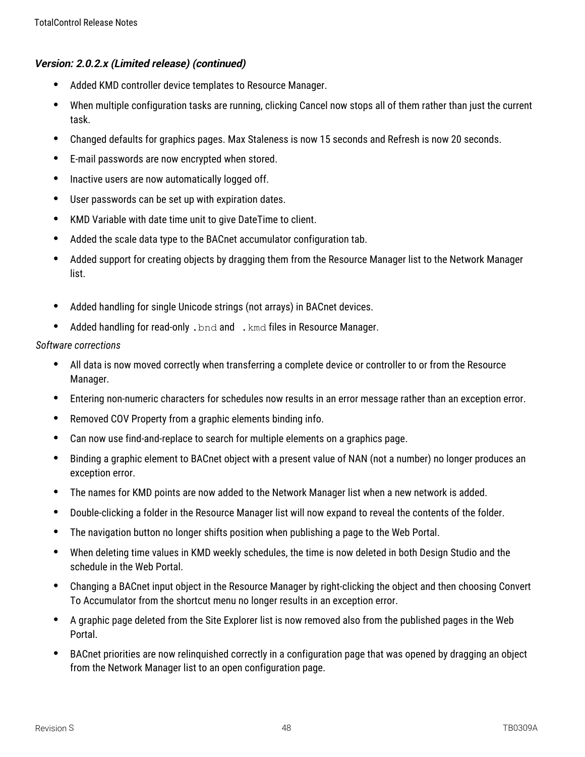# **Version: 2.0.2.x (Limited release) (continued)**

- Added KMD controller device templates to Resource Manager.
- When multiple configuration tasks are running, clicking Cancel now stops all of them rather than just the current task.
- Changed defaults for graphics pages. Max Staleness is now 15 seconds and Refresh is now 20 seconds.
- E-mail passwords are now encrypted when stored.
- Inactive users are now automatically logged off.
- User passwords can be set up with expiration dates.
- KMD Variable with date time unit to give DateTime to client.
- Added the scale data type to the BACnet accumulator configuration tab.
- Added support for creating objects by dragging them from the Resource Manager list to the Network Manager list.
- Added handling for single Unicode strings (not arrays) in BACnet devices.
- Added handling for read-only . bnd and . kmd files in Resource Manager.

- All data is now moved correctly when transferring a complete device or controller to or from the Resource Manager.
- Entering non-numeric characters for schedules now results in an error message rather than an exception error.
- Removed COV Property from a graphic elements binding info.
- Can now use find-and-replace to search for multiple elements on a graphics page.
- Binding a graphic element to BACnet object with a present value of NAN (not a number) no longer produces an exception error.
- The names for KMD points are now added to the Network Manager list when a new network is added.
- Double-clicking a folder in the Resource Manager list will now expand to reveal the contents of the folder.
- The navigation button no longer shifts position when publishing a page to the Web Portal.
- When deleting time values in KMD weekly schedules, the time is now deleted in both Design Studio and the schedule in the Web Portal.
- Changing a BACnet input object in the Resource Manager by right-clicking the object and then choosing Convert To Accumulator from the shortcut menu no longer results in an exception error.
- A graphic page deleted from the Site Explorer list is now removed also from the published pages in the Web Portal.
- BACnet priorities are now relinquished correctly in a configuration page that was opened by dragging an object from the Network Manager list to an open configuration page.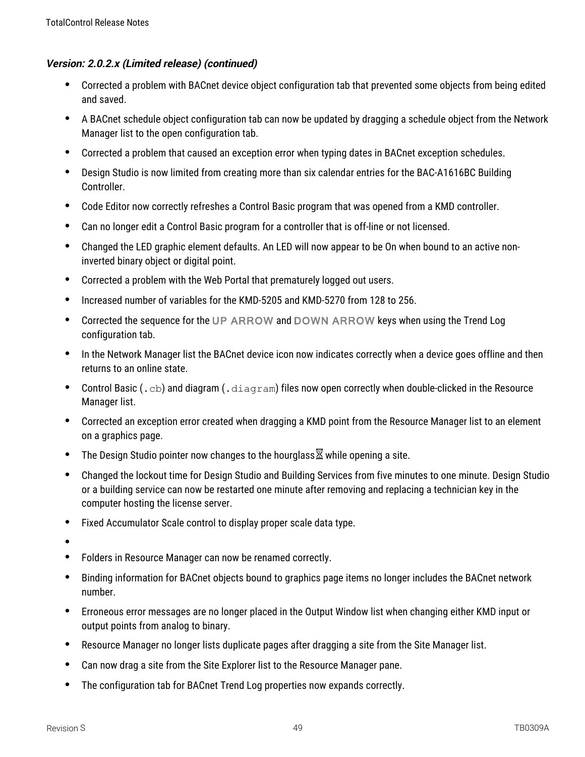## **Version: 2.0.2.x (Limited release) (continued)**

- Corrected a problem with BACnet device object configuration tab that prevented some objects from being edited and saved.
- A BACnet schedule object configuration tab can now be updated by dragging a schedule object from the Network Manager list to the open configuration tab.
- Corrected a problem that caused an exception error when typing dates in BACnet exception schedules.
- Design Studio is now limited from creating more than six calendar entries for the BAC-A1616BC Building Controller.
- Code Editor now correctly refreshes a Control Basic program that was opened from a KMD controller.
- Can no longer edit a Control Basic program for a controller that is off-line or not licensed.
- Changed the LED graphic element defaults. An LED will now appear to be On when bound to an active noninverted binary object or digital point.
- Corrected a problem with the Web Portal that prematurely logged out users.
- Increased number of variables for the KMD-5205 and KMD-5270 from 128 to 256.
- Corrected the sequence for the UP ARROW and DOWN ARROW keys when using the Trend Log configuration tab.
- In the Network Manager list the BACnet device icon now indicates correctly when a device goes offline and then returns to an online state.
- Control Basic (.cb) and diagram (.diagram) files now open correctly when double-clicked in the Resource Manager list.
- Corrected an exception error created when dragging a KMD point from the Resource Manager list to an element on a graphics page.
- The Design Studio pointer now changes to the hourglass  $\overline{\mathbb{Z}}$  while opening a site.
- Changed the lockout time for Design Studio and Building Services from five minutes to one minute. Design Studio or a building service can now be restarted one minute after removing and replacing a technician key in the computer hosting the license server.
- Fixed Accumulator Scale control to display proper scale data type.
- $\bullet$
- Folders in Resource Manager can now be renamed correctly.
- Binding information for BACnet objects bound to graphics page items no longer includes the BACnet network number.
- Erroneous error messages are no longer placed in the Output Window list when changing either KMD input or output points from analog to binary.
- Resource Manager no longer lists duplicate pages after dragging a site from the Site Manager list.
- Can now drag a site from the Site Explorer list to the Resource Manager pane.
- The configuration tab for BACnet Trend Log properties now expands correctly.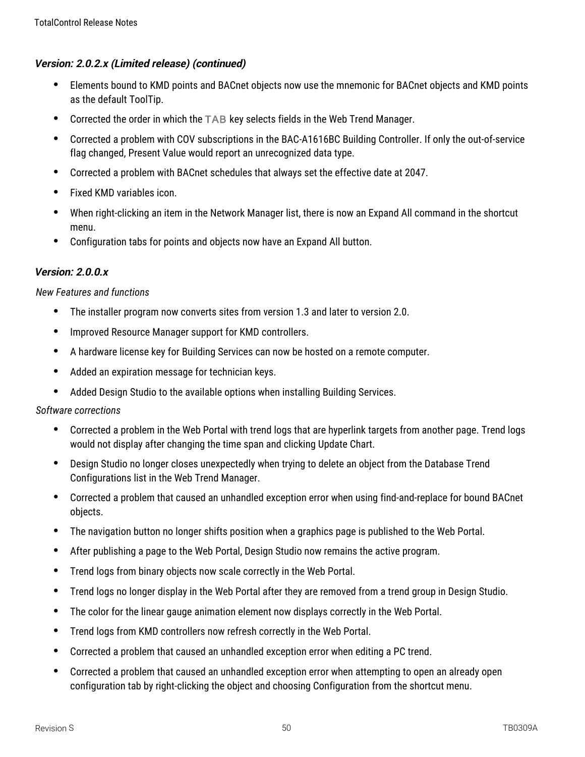# **Version: 2.0.2.x (Limited release) (continued)**

- Elements bound to KMD points and BACnet objects now use the mnemonic for BACnet objects and KMD points as the default ToolTip.
- Corrected the order in which the TAB key selects fields in the Web Trend Manager.
- Corrected a problem with COV subscriptions in the BAC-A1616BC Building Controller. If only the out-of-service flag changed, Present Value would report an unrecognized data type.
- Corrected a problem with BACnet schedules that always set the effective date at 2047.
- Fixed KMD variables icon.
- When right-clicking an item in the Network Manager list, there is now an Expand All command in the shortcut menu.
- Configuration tabs for points and objects now have an Expand All button.

## **Version: 2.0.0.x**

### *New Features and functions*

- The installer program now converts sites from version 1.3 and later to version 2.0.
- Improved Resource Manager support for KMD controllers.
- A hardware license key for Building Services can now be hosted on a remote computer.
- Added an expiration message for technician keys.
- Added Design Studio to the available options when installing Building Services.

- Corrected a problem in the Web Portal with trend logs that are hyperlink targets from another page. Trend logs would not display after changing the time span and clicking Update Chart.
- Design Studio no longer closes unexpectedly when trying to delete an object from the Database Trend Configurations list in the Web Trend Manager.
- Corrected a problem that caused an unhandled exception error when using find-and-replace for bound BACnet objects.
- The navigation button no longer shifts position when a graphics page is published to the Web Portal.
- After publishing a page to the Web Portal, Design Studio now remains the active program.
- Trend logs from binary objects now scale correctly in the Web Portal.
- Trend logs no longer display in the Web Portal after they are removed from a trend group in Design Studio.
- The color for the linear gauge animation element now displays correctly in the Web Portal.
- Trend logs from KMD controllers now refresh correctly in the Web Portal.
- Corrected a problem that caused an unhandled exception error when editing a PC trend.
- Corrected a problem that caused an unhandled exception error when attempting to open an already open configuration tab by right-clicking the object and choosing Configuration from the shortcut menu.